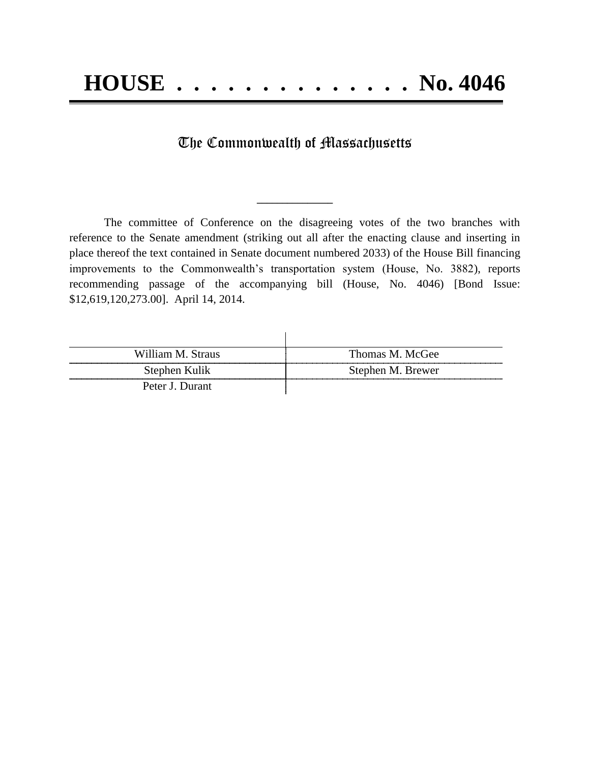## The Commonwealth of Massachusetts

**\_\_\_\_\_\_\_\_\_\_\_\_\_\_\_**

The committee of Conference on the disagreeing votes of the two branches with reference to the Senate amendment (striking out all after the enacting clause and inserting in place thereof the text contained in Senate document numbered 2033) of the House Bill financing improvements to the Commonwealth's transportation system (House, No. 3882), reports recommending passage of the accompanying bill (House, No. 4046) [Bond Issue: \$12,619,120,273.00]. April 14, 2014.

| William M. Straus | Thomas M. McGee   |
|-------------------|-------------------|
| Stephen Kulik     | Stephen M. Brewer |
| Peter J. Durant   |                   |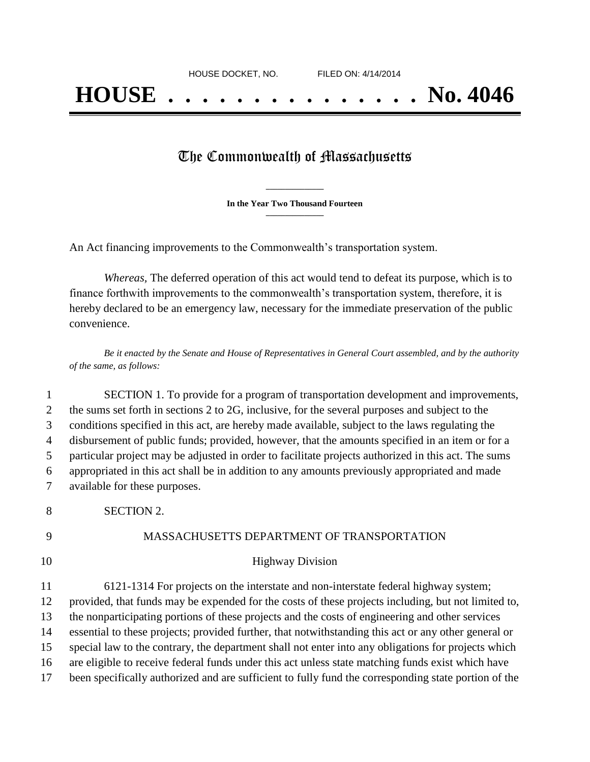## The Commonwealth of Massachusetts

**\_\_\_\_\_\_\_\_\_\_\_\_\_\_\_ In the Year Two Thousand Fourteen \_\_\_\_\_\_\_\_\_\_\_\_\_\_\_**

An Act financing improvements to the Commonwealth's transportation system.

*Whereas,* The deferred operation of this act would tend to defeat its purpose, which is to finance forthwith improvements to the commonwealth's transportation system, therefore, it is hereby declared to be an emergency law, necessary for the immediate preservation of the public convenience.

*Be it enacted by the Senate and House of Representatives in General Court assembled, and by the authority of the same, as follows:*

 SECTION 1. To provide for a program of transportation development and improvements, 2 the sums set forth in sections 2 to 2G, inclusive, for the several purposes and subject to the conditions specified in this act, are hereby made available, subject to the laws regulating the disbursement of public funds; provided, however, that the amounts specified in an item or for a particular project may be adjusted in order to facilitate projects authorized in this act. The sums appropriated in this act shall be in addition to any amounts previously appropriated and made available for these purposes.

8 SECTION 2.

## 9 MASSACHUSETTS DEPARTMENT OF TRANSPORTATION

## 10 Highway Division

 6121-1314 For projects on the interstate and non-interstate federal highway system; provided, that funds may be expended for the costs of these projects including, but not limited to, the nonparticipating portions of these projects and the costs of engineering and other services essential to these projects; provided further, that notwithstanding this act or any other general or special law to the contrary, the department shall not enter into any obligations for projects which are eligible to receive federal funds under this act unless state matching funds exist which have been specifically authorized and are sufficient to fully fund the corresponding state portion of the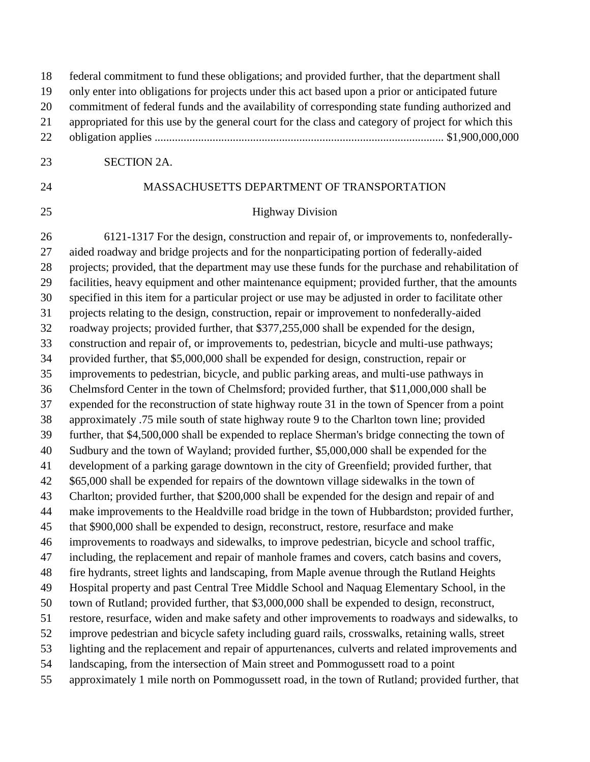| 18<br>19 | federal commitment to fund these obligations; and provided further, that the department shall<br>only enter into obligations for projects under this act based upon a prior or anticipated future   |
|----------|-----------------------------------------------------------------------------------------------------------------------------------------------------------------------------------------------------|
|          |                                                                                                                                                                                                     |
| 20       | commitment of federal funds and the availability of corresponding state funding authorized and                                                                                                      |
| 21<br>22 | appropriated for this use by the general court for the class and category of project for which this                                                                                                 |
|          |                                                                                                                                                                                                     |
| 23       | <b>SECTION 2A.</b>                                                                                                                                                                                  |
| 24       | MASSACHUSETTS DEPARTMENT OF TRANSPORTATION                                                                                                                                                          |
| 25       | <b>Highway Division</b>                                                                                                                                                                             |
| 26       | 6121-1317 For the design, construction and repair of, or improvements to, nonfederally-                                                                                                             |
| 27       | aided roadway and bridge projects and for the nonparticipating portion of federally-aided                                                                                                           |
| 28       | projects; provided, that the department may use these funds for the purchase and rehabilitation of                                                                                                  |
| 29       | facilities, heavy equipment and other maintenance equipment; provided further, that the amounts                                                                                                     |
| 30       | specified in this item for a particular project or use may be adjusted in order to facilitate other                                                                                                 |
| 31       | projects relating to the design, construction, repair or improvement to nonfederally-aided                                                                                                          |
| 32       | roadway projects; provided further, that \$377,255,000 shall be expended for the design,                                                                                                            |
| 33       | construction and repair of, or improvements to, pedestrian, bicycle and multi-use pathways;                                                                                                         |
| 34       | provided further, that \$5,000,000 shall be expended for design, construction, repair or                                                                                                            |
| 35       | improvements to pedestrian, bicycle, and public parking areas, and multi-use pathways in                                                                                                            |
| 36       | Chelmsford Center in the town of Chelmsford; provided further, that \$11,000,000 shall be                                                                                                           |
| 37       | expended for the reconstruction of state highway route 31 in the town of Spencer from a point                                                                                                       |
| 38       | approximately .75 mile south of state highway route 9 to the Charlton town line; provided                                                                                                           |
| 39       | further, that \$4,500,000 shall be expended to replace Sherman's bridge connecting the town of                                                                                                      |
| 40       | Sudbury and the town of Wayland; provided further, \$5,000,000 shall be expended for the                                                                                                            |
| 41       | development of a parking garage downtown in the city of Greenfield; provided further, that                                                                                                          |
| 42       | \$65,000 shall be expended for repairs of the downtown village sidewalks in the town of                                                                                                             |
| 43       | Charlton; provided further, that \$200,000 shall be expended for the design and repair of and                                                                                                       |
| 44       | make improvements to the Healdville road bridge in the town of Hubbardston; provided further,                                                                                                       |
| 45       | that \$900,000 shall be expended to design, reconstruct, restore, resurface and make                                                                                                                |
| 46       | improvements to roadways and sidewalks, to improve pedestrian, bicycle and school traffic,                                                                                                          |
| 47       | including, the replacement and repair of manhole frames and covers, catch basins and covers,                                                                                                        |
| 48       | fire hydrants, street lights and landscaping, from Maple avenue through the Rutland Heights                                                                                                         |
| 49       | Hospital property and past Central Tree Middle School and Naquag Elementary School, in the                                                                                                          |
| 50<br>51 | town of Rutland; provided further, that \$3,000,000 shall be expended to design, reconstruct,<br>restore, resurface, widen and make safety and other improvements to roadways and sidewalks, to     |
| 52       |                                                                                                                                                                                                     |
| 53       | improve pedestrian and bicycle safety including guard rails, crosswalks, retaining walls, street<br>lighting and the replacement and repair of appurtenances, culverts and related improvements and |
| 54       | landscaping, from the intersection of Main street and Pommogussett road to a point                                                                                                                  |
| 55       | approximately 1 mile north on Pommogussett road, in the town of Rutland; provided further, that                                                                                                     |
|          |                                                                                                                                                                                                     |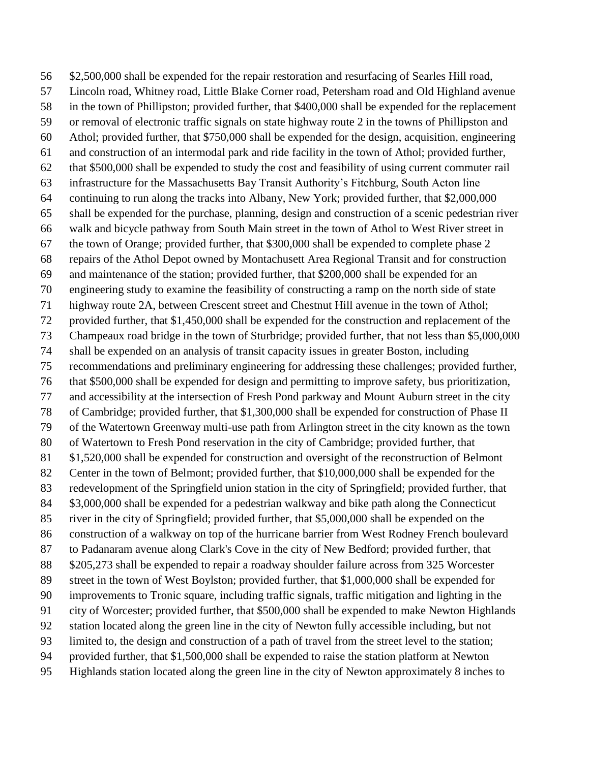\$2,500,000 shall be expended for the repair restoration and resurfacing of Searles Hill road, Lincoln road, Whitney road, Little Blake Corner road, Petersham road and Old Highland avenue in the town of Phillipston; provided further, that \$400,000 shall be expended for the replacement or removal of electronic traffic signals on state highway route 2 in the towns of Phillipston and Athol; provided further, that \$750,000 shall be expended for the design, acquisition, engineering and construction of an intermodal park and ride facility in the town of Athol; provided further, that \$500,000 shall be expended to study the cost and feasibility of using current commuter rail infrastructure for the Massachusetts Bay Transit Authority's Fitchburg, South Acton line continuing to run along the tracks into Albany, New York; provided further, that \$2,000,000 shall be expended for the purchase, planning, design and construction of a scenic pedestrian river walk and bicycle pathway from South Main street in the town of Athol to West River street in the town of Orange; provided further, that \$300,000 shall be expended to complete phase 2 repairs of the Athol Depot owned by Montachusett Area Regional Transit and for construction and maintenance of the station; provided further, that \$200,000 shall be expended for an engineering study to examine the feasibility of constructing a ramp on the north side of state highway route 2A, between Crescent street and Chestnut Hill avenue in the town of Athol; provided further, that \$1,450,000 shall be expended for the construction and replacement of the Champeaux road bridge in the town of Sturbridge; provided further, that not less than \$5,000,000 shall be expended on an analysis of transit capacity issues in greater Boston, including recommendations and preliminary engineering for addressing these challenges; provided further, that \$500,000 shall be expended for design and permitting to improve safety, bus prioritization, and accessibility at the intersection of Fresh Pond parkway and Mount Auburn street in the city of Cambridge; provided further, that \$1,300,000 shall be expended for construction of Phase II of the Watertown Greenway multi-use path from Arlington street in the city known as the town of Watertown to Fresh Pond reservation in the city of Cambridge; provided further, that \$1,520,000 shall be expended for construction and oversight of the reconstruction of Belmont 82 Center in the town of Belmont; provided further, that \$10,000,000 shall be expended for the redevelopment of the Springfield union station in the city of Springfield; provided further, that \$3,000,000 shall be expended for a pedestrian walkway and bike path along the Connecticut river in the city of Springfield; provided further, that \$5,000,000 shall be expended on the construction of a walkway on top of the hurricane barrier from West Rodney French boulevard to Padanaram avenue along Clark's Cove in the city of New Bedford; provided further, that \$205,273 shall be expended to repair a roadway shoulder failure across from 325 Worcester street in the town of West Boylston; provided further, that \$1,000,000 shall be expended for improvements to Tronic square, including traffic signals, traffic mitigation and lighting in the city of Worcester; provided further, that \$500,000 shall be expended to make Newton Highlands station located along the green line in the city of Newton fully accessible including, but not limited to, the design and construction of a path of travel from the street level to the station; provided further, that \$1,500,000 shall be expended to raise the station platform at Newton Highlands station located along the green line in the city of Newton approximately 8 inches to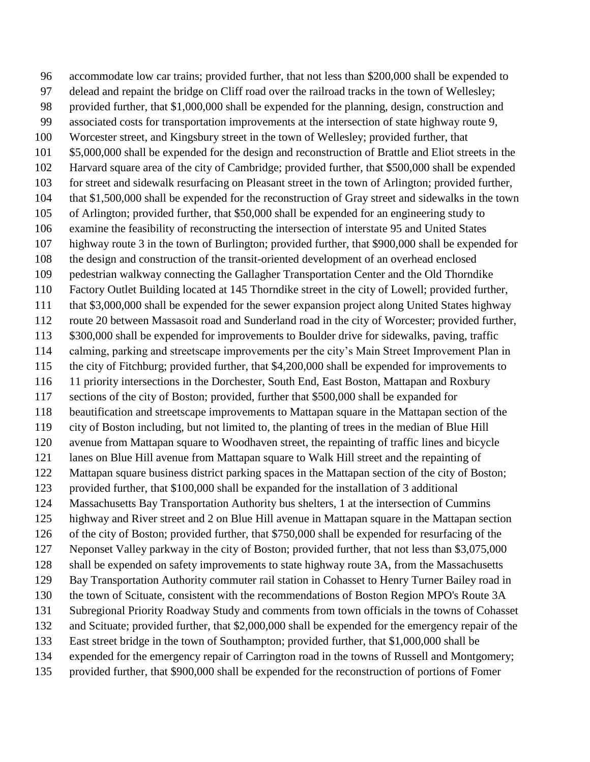accommodate low car trains; provided further, that not less than \$200,000 shall be expended to delead and repaint the bridge on Cliff road over the railroad tracks in the town of Wellesley; provided further, that \$1,000,000 shall be expended for the planning, design, construction and associated costs for transportation improvements at the intersection of state highway route 9, Worcester street, and Kingsbury street in the town of Wellesley; provided further, that \$5,000,000 shall be expended for the design and reconstruction of Brattle and Eliot streets in the Harvard square area of the city of Cambridge; provided further, that \$500,000 shall be expended for street and sidewalk resurfacing on Pleasant street in the town of Arlington; provided further, that \$1,500,000 shall be expended for the reconstruction of Gray street and sidewalks in the town of Arlington; provided further, that \$50,000 shall be expended for an engineering study to examine the feasibility of reconstructing the intersection of interstate 95 and United States highway route 3 in the town of Burlington; provided further, that \$900,000 shall be expended for the design and construction of the transit-oriented development of an overhead enclosed pedestrian walkway connecting the Gallagher Transportation Center and the Old Thorndike Factory Outlet Building located at 145 Thorndike street in the city of Lowell; provided further, that \$3,000,000 shall be expended for the sewer expansion project along United States highway route 20 between Massasoit road and Sunderland road in the city of Worcester; provided further, \$300,000 shall be expended for improvements to Boulder drive for sidewalks, paving, traffic calming, parking and streetscape improvements per the city's Main Street Improvement Plan in the city of Fitchburg; provided further, that \$4,200,000 shall be expended for improvements to 11 priority intersections in the Dorchester, South End, East Boston, Mattapan and Roxbury sections of the city of Boston; provided, further that \$500,000 shall be expanded for beautification and streetscape improvements to Mattapan square in the Mattapan section of the city of Boston including, but not limited to, the planting of trees in the median of Blue Hill avenue from Mattapan square to Woodhaven street, the repainting of traffic lines and bicycle lanes on Blue Hill avenue from Mattapan square to Walk Hill street and the repainting of Mattapan square business district parking spaces in the Mattapan section of the city of Boston; provided further, that \$100,000 shall be expanded for the installation of 3 additional Massachusetts Bay Transportation Authority bus shelters, 1 at the intersection of Cummins highway and River street and 2 on Blue Hill avenue in Mattapan square in the Mattapan section of the city of Boston; provided further, that \$750,000 shall be expended for resurfacing of the Neponset Valley parkway in the city of Boston; provided further, that not less than \$3,075,000 shall be expended on safety improvements to state highway route 3A, from the Massachusetts Bay Transportation Authority commuter rail station in Cohasset to Henry Turner Bailey road in the town of Scituate, consistent with the recommendations of Boston Region MPO's Route 3A Subregional Priority Roadway Study and comments from town officials in the towns of Cohasset and Scituate; provided further, that \$2,000,000 shall be expended for the emergency repair of the East street bridge in the town of Southampton; provided further, that \$1,000,000 shall be expended for the emergency repair of Carrington road in the towns of Russell and Montgomery; provided further, that \$900,000 shall be expended for the reconstruction of portions of Fomer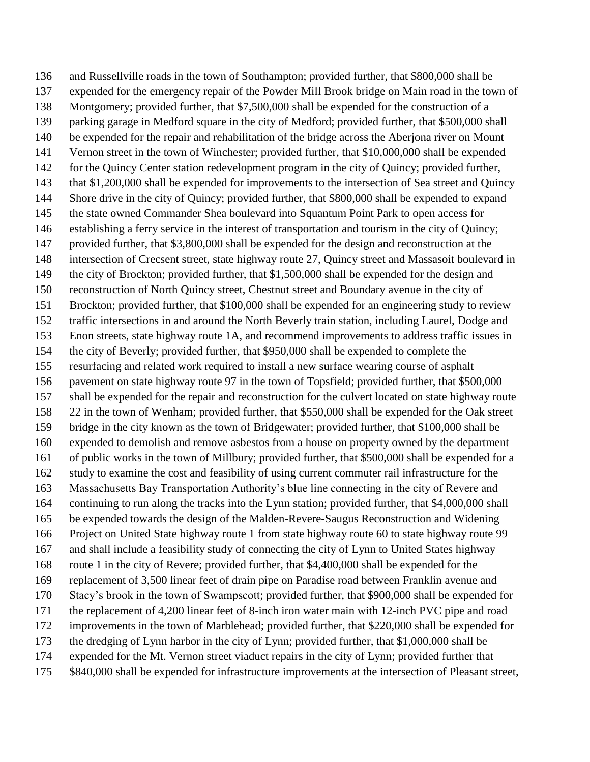and Russellville roads in the town of Southampton; provided further, that \$800,000 shall be expended for the emergency repair of the Powder Mill Brook bridge on Main road in the town of Montgomery; provided further, that \$7,500,000 shall be expended for the construction of a parking garage in Medford square in the city of Medford; provided further, that \$500,000 shall be expended for the repair and rehabilitation of the bridge across the Aberjona river on Mount Vernon street in the town of Winchester; provided further, that \$10,000,000 shall be expended for the Quincy Center station redevelopment program in the city of Quincy; provided further, that \$1,200,000 shall be expended for improvements to the intersection of Sea street and Quincy 144 Shore drive in the city of Quincy; provided further, that \$800,000 shall be expended to expand the state owned Commander Shea boulevard into Squantum Point Park to open access for establishing a ferry service in the interest of transportation and tourism in the city of Quincy; provided further, that \$3,800,000 shall be expended for the design and reconstruction at the intersection of Crecsent street, state highway route 27, Quincy street and Massasoit boulevard in the city of Brockton; provided further, that \$1,500,000 shall be expended for the design and reconstruction of North Quincy street, Chestnut street and Boundary avenue in the city of Brockton; provided further, that \$100,000 shall be expended for an engineering study to review traffic intersections in and around the North Beverly train station, including Laurel, Dodge and Enon streets, state highway route 1A, and recommend improvements to address traffic issues in the city of Beverly; provided further, that \$950,000 shall be expended to complete the resurfacing and related work required to install a new surface wearing course of asphalt pavement on state highway route 97 in the town of Topsfield; provided further, that \$500,000 shall be expended for the repair and reconstruction for the culvert located on state highway route 22 in the town of Wenham; provided further, that \$550,000 shall be expended for the Oak street bridge in the city known as the town of Bridgewater; provided further, that \$100,000 shall be expended to demolish and remove asbestos from a house on property owned by the department of public works in the town of Millbury; provided further, that \$500,000 shall be expended for a study to examine the cost and feasibility of using current commuter rail infrastructure for the Massachusetts Bay Transportation Authority's blue line connecting in the city of Revere and continuing to run along the tracks into the Lynn station; provided further, that \$4,000,000 shall be expended towards the design of the Malden-Revere-Saugus Reconstruction and Widening Project on United State highway route 1 from state highway route 60 to state highway route 99 and shall include a feasibility study of connecting the city of Lynn to United States highway route 1 in the city of Revere; provided further, that \$4,400,000 shall be expended for the replacement of 3,500 linear feet of drain pipe on Paradise road between Franklin avenue and Stacy's brook in the town of Swampscott; provided further, that \$900,000 shall be expended for the replacement of 4,200 linear feet of 8-inch iron water main with 12-inch PVC pipe and road improvements in the town of Marblehead; provided further, that \$220,000 shall be expended for the dredging of Lynn harbor in the city of Lynn; provided further, that \$1,000,000 shall be expended for the Mt. Vernon street viaduct repairs in the city of Lynn; provided further that \$840,000 shall be expended for infrastructure improvements at the intersection of Pleasant street,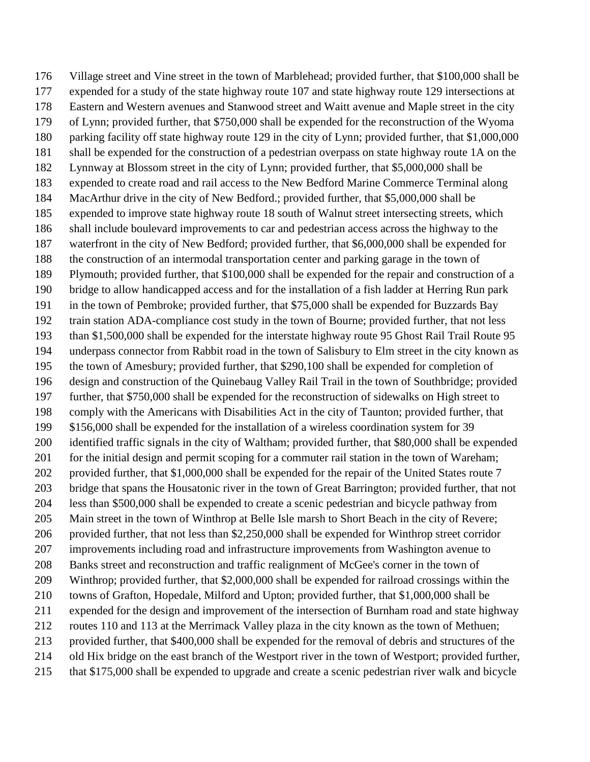Village street and Vine street in the town of Marblehead; provided further, that \$100,000 shall be expended for a study of the state highway route 107 and state highway route 129 intersections at Eastern and Western avenues and Stanwood street and Waitt avenue and Maple street in the city of Lynn; provided further, that \$750,000 shall be expended for the reconstruction of the Wyoma parking facility off state highway route 129 in the city of Lynn; provided further, that \$1,000,000 shall be expended for the construction of a pedestrian overpass on state highway route 1A on the Lynnway at Blossom street in the city of Lynn; provided further, that \$5,000,000 shall be expended to create road and rail access to the New Bedford Marine Commerce Terminal along MacArthur drive in the city of New Bedford.; provided further, that \$5,000,000 shall be expended to improve state highway route 18 south of Walnut street intersecting streets, which shall include boulevard improvements to car and pedestrian access across the highway to the waterfront in the city of New Bedford; provided further, that \$6,000,000 shall be expended for the construction of an intermodal transportation center and parking garage in the town of Plymouth; provided further, that \$100,000 shall be expended for the repair and construction of a bridge to allow handicapped access and for the installation of a fish ladder at Herring Run park in the town of Pembroke; provided further, that \$75,000 shall be expended for Buzzards Bay train station ADA-compliance cost study in the town of Bourne; provided further, that not less than \$1,500,000 shall be expended for the interstate highway route 95 Ghost Rail Trail Route 95 underpass connector from Rabbit road in the town of Salisbury to Elm street in the city known as the town of Amesbury; provided further, that \$290,100 shall be expended for completion of design and construction of the Quinebaug Valley Rail Trail in the town of Southbridge; provided further, that \$750,000 shall be expended for the reconstruction of sidewalks on High street to comply with the Americans with Disabilities Act in the city of Taunton; provided further, that \$156,000 shall be expended for the installation of a wireless coordination system for 39 identified traffic signals in the city of Waltham; provided further, that \$80,000 shall be expended 201 for the initial design and permit scoping for a commuter rail station in the town of Wareham; 202 provided further, that \$1,000,000 shall be expended for the repair of the United States route 7 bridge that spans the Housatonic river in the town of Great Barrington; provided further, that not less than \$500,000 shall be expended to create a scenic pedestrian and bicycle pathway from Main street in the town of Winthrop at Belle Isle marsh to Short Beach in the city of Revere; provided further, that not less than \$2,250,000 shall be expended for Winthrop street corridor improvements including road and infrastructure improvements from Washington avenue to Banks street and reconstruction and traffic realignment of McGee's corner in the town of Winthrop; provided further, that \$2,000,000 shall be expended for railroad crossings within the towns of Grafton, Hopedale, Milford and Upton; provided further, that \$1,000,000 shall be expended for the design and improvement of the intersection of Burnham road and state highway routes 110 and 113 at the Merrimack Valley plaza in the city known as the town of Methuen; provided further, that \$400,000 shall be expended for the removal of debris and structures of the old Hix bridge on the east branch of the Westport river in the town of Westport; provided further, that \$175,000 shall be expended to upgrade and create a scenic pedestrian river walk and bicycle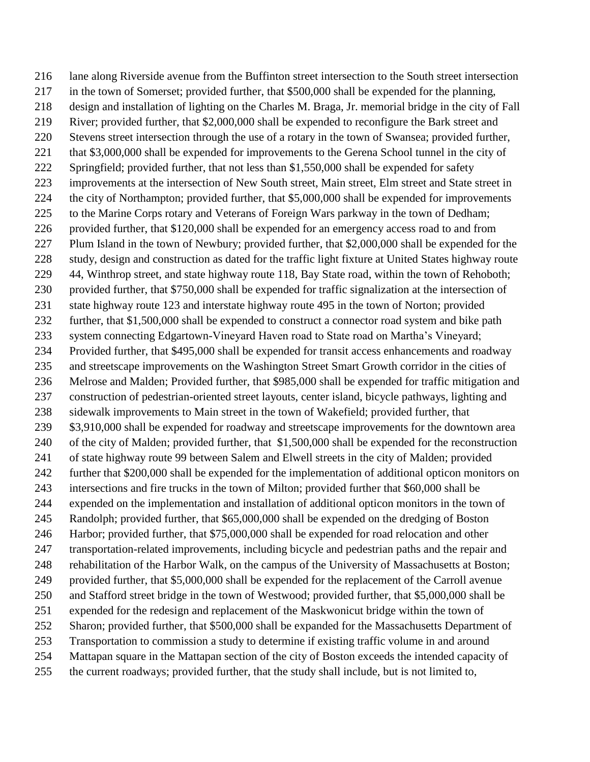lane along Riverside avenue from the Buffinton street intersection to the South street intersection in the town of Somerset; provided further, that \$500,000 shall be expended for the planning, design and installation of lighting on the Charles M. Braga, Jr. memorial bridge in the city of Fall River; provided further, that \$2,000,000 shall be expended to reconfigure the Bark street and Stevens street intersection through the use of a rotary in the town of Swansea; provided further, 221 that \$3,000,000 shall be expended for improvements to the Gerena School tunnel in the city of Springfield; provided further, that not less than \$1,550,000 shall be expended for safety improvements at the intersection of New South street, Main street, Elm street and State street in the city of Northampton; provided further, that \$5,000,000 shall be expended for improvements to the Marine Corps rotary and Veterans of Foreign Wars parkway in the town of Dedham; provided further, that \$120,000 shall be expended for an emergency access road to and from Plum Island in the town of Newbury; provided further, that \$2,000,000 shall be expended for the study, design and construction as dated for the traffic light fixture at United States highway route 44, Winthrop street, and state highway route 118, Bay State road, within the town of Rehoboth; provided further, that \$750,000 shall be expended for traffic signalization at the intersection of state highway route 123 and interstate highway route 495 in the town of Norton; provided further, that \$1,500,000 shall be expended to construct a connector road system and bike path system connecting Edgartown-Vineyard Haven road to State road on Martha's Vineyard; Provided further, that \$495,000 shall be expended for transit access enhancements and roadway and streetscape improvements on the Washington Street Smart Growth corridor in the cities of Melrose and Malden; Provided further, that \$985,000 shall be expended for traffic mitigation and construction of pedestrian-oriented street layouts, center island, bicycle pathways, lighting and sidewalk improvements to Main street in the town of Wakefield; provided further, that 239 \$3,910,000 shall be expended for roadway and streetscape improvements for the downtown area of the city of Malden; provided further, that \$1,500,000 shall be expended for the reconstruction of state highway route 99 between Salem and Elwell streets in the city of Malden; provided further that \$200,000 shall be expended for the implementation of additional opticon monitors on intersections and fire trucks in the town of Milton; provided further that \$60,000 shall be expended on the implementation and installation of additional opticon monitors in the town of Randolph; provided further, that \$65,000,000 shall be expended on the dredging of Boston Harbor; provided further, that \$75,000,000 shall be expended for road relocation and other transportation-related improvements, including bicycle and pedestrian paths and the repair and rehabilitation of the Harbor Walk, on the campus of the University of Massachusetts at Boston; provided further, that \$5,000,000 shall be expended for the replacement of the Carroll avenue and Stafford street bridge in the town of Westwood; provided further, that \$5,000,000 shall be expended for the redesign and replacement of the Maskwonicut bridge within the town of Sharon; provided further, that \$500,000 shall be expanded for the Massachusetts Department of Transportation to commission a study to determine if existing traffic volume in and around Mattapan square in the Mattapan section of the city of Boston exceeds the intended capacity of the current roadways; provided further, that the study shall include, but is not limited to,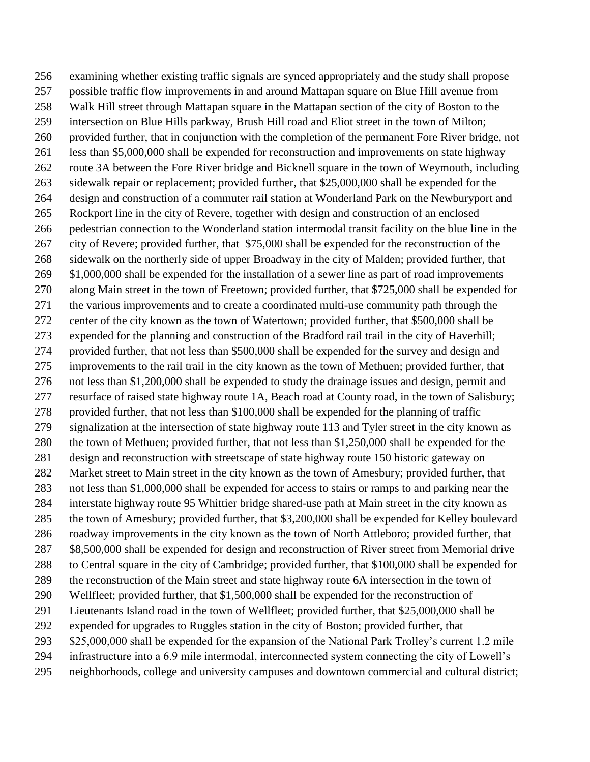examining whether existing traffic signals are synced appropriately and the study shall propose possible traffic flow improvements in and around Mattapan square on Blue Hill avenue from Walk Hill street through Mattapan square in the Mattapan section of the city of Boston to the intersection on Blue Hills parkway, Brush Hill road and Eliot street in the town of Milton; provided further, that in conjunction with the completion of the permanent Fore River bridge, not less than \$5,000,000 shall be expended for reconstruction and improvements on state highway route 3A between the Fore River bridge and Bicknell square in the town of Weymouth, including 263 sidewalk repair or replacement; provided further, that \$25,000,000 shall be expended for the design and construction of a commuter rail station at Wonderland Park on the Newburyport and Rockport line in the city of Revere, together with design and construction of an enclosed pedestrian connection to the Wonderland station intermodal transit facility on the blue line in the city of Revere; provided further, that \$75,000 shall be expended for the reconstruction of the sidewalk on the northerly side of upper Broadway in the city of Malden; provided further, that \$1,000,000 shall be expended for the installation of a sewer line as part of road improvements along Main street in the town of Freetown; provided further, that \$725,000 shall be expended for the various improvements and to create a coordinated multi-use community path through the center of the city known as the town of Watertown; provided further, that \$500,000 shall be expended for the planning and construction of the Bradford rail trail in the city of Haverhill; provided further, that not less than \$500,000 shall be expended for the survey and design and improvements to the rail trail in the city known as the town of Methuen; provided further, that not less than \$1,200,000 shall be expended to study the drainage issues and design, permit and resurface of raised state highway route 1A, Beach road at County road, in the town of Salisbury; provided further, that not less than \$100,000 shall be expended for the planning of traffic signalization at the intersection of state highway route 113 and Tyler street in the city known as the town of Methuen; provided further, that not less than \$1,250,000 shall be expended for the design and reconstruction with streetscape of state highway route 150 historic gateway on Market street to Main street in the city known as the town of Amesbury; provided further, that not less than \$1,000,000 shall be expended for access to stairs or ramps to and parking near the interstate highway route 95 Whittier bridge shared-use path at Main street in the city known as the town of Amesbury; provided further, that \$3,200,000 shall be expended for Kelley boulevard roadway improvements in the city known as the town of North Attleboro; provided further, that \$8,500,000 shall be expended for design and reconstruction of River street from Memorial drive to Central square in the city of Cambridge; provided further, that \$100,000 shall be expended for the reconstruction of the Main street and state highway route 6A intersection in the town of Wellfleet; provided further, that \$1,500,000 shall be expended for the reconstruction of Lieutenants Island road in the town of Wellfleet; provided further, that \$25,000,000 shall be expended for upgrades to Ruggles station in the city of Boston; provided further, that 293 \$25,000,000 shall be expended for the expansion of the National Park Trolley's current 1.2 mile infrastructure into a 6.9 mile intermodal, interconnected system connecting the city of Lowell's neighborhoods, college and university campuses and downtown commercial and cultural district;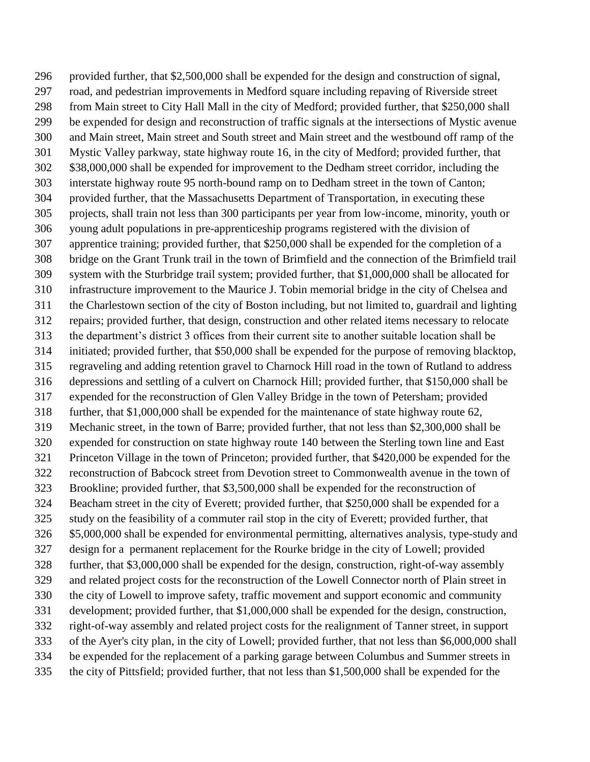provided further, that \$2,500,000 shall be expended for the design and construction of signal, road, and pedestrian improvements in Medford square including repaving of Riverside street from Main street to City Hall Mall in the city of Medford; provided further, that \$250,000 shall be expended for design and reconstruction of traffic signals at the intersections of Mystic avenue and Main street, Main street and South street and Main street and the westbound off ramp of the Mystic Valley parkway, state highway route 16, in the city of Medford; provided further, that \$38,000,000 shall be expended for improvement to the Dedham street corridor, including the interstate highway route 95 north-bound ramp on to Dedham street in the town of Canton; provided further, that the Massachusetts Department of Transportation, in executing these projects, shall train not less than 300 participants per year from low-income, minority, youth or young adult populations in pre-apprenticeship programs registered with the division of apprentice training; provided further, that \$250,000 shall be expended for the completion of a bridge on the Grant Trunk trail in the town of Brimfield and the connection of the Brimfield trail system with the Sturbridge trail system; provided further, that \$1,000,000 shall be allocated for infrastructure improvement to the Maurice J. Tobin memorial bridge in the city of Chelsea and the Charlestown section of the city of Boston including, but not limited to, guardrail and lighting repairs; provided further, that design, construction and other related items necessary to relocate the department's district 3 offices from their current site to another suitable location shall be initiated; provided further, that \$50,000 shall be expended for the purpose of removing blacktop, regraveling and adding retention gravel to Charnock Hill road in the town of Rutland to address depressions and settling of a culvert on Charnock Hill; provided further, that \$150,000 shall be expended for the reconstruction of Glen Valley Bridge in the town of Petersham; provided further, that \$1,000,000 shall be expended for the maintenance of state highway route 62, Mechanic street, in the town of Barre; provided further, that not less than \$2,300,000 shall be expended for construction on state highway route 140 between the Sterling town line and East Princeton Village in the town of Princeton; provided further, that \$420,000 be expended for the reconstruction of Babcock street from Devotion street to Commonwealth avenue in the town of Brookline; provided further, that \$3,500,000 shall be expended for the reconstruction of Beacham street in the city of Everett; provided further, that \$250,000 shall be expended for a study on the feasibility of a commuter rail stop in the city of Everett; provided further, that \$5,000,000 shall be expended for environmental permitting, alternatives analysis, type-study and design for a permanent replacement for the Rourke bridge in the city of Lowell; provided further, that \$3,000,000 shall be expended for the design, construction, right-of-way assembly and related project costs for the reconstruction of the Lowell Connector north of Plain street in the city of Lowell to improve safety, traffic movement and support economic and community development; provided further, that \$1,000,000 shall be expended for the design, construction, right-of-way assembly and related project costs for the realignment of Tanner street, in support of the Ayer's city plan, in the city of Lowell; provided further, that not less than \$6,000,000 shall be expended for the replacement of a parking garage between Columbus and Summer streets in the city of Pittsfield; provided further, that not less than \$1,500,000 shall be expended for the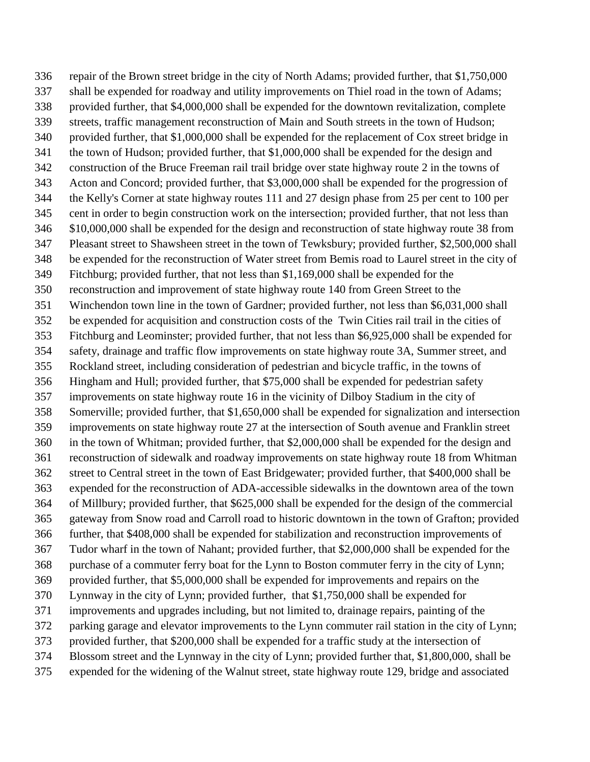repair of the Brown street bridge in the city of North Adams; provided further, that \$1,750,000 shall be expended for roadway and utility improvements on Thiel road in the town of Adams; provided further, that \$4,000,000 shall be expended for the downtown revitalization, complete streets, traffic management reconstruction of Main and South streets in the town of Hudson; provided further, that \$1,000,000 shall be expended for the replacement of Cox street bridge in the town of Hudson; provided further, that \$1,000,000 shall be expended for the design and construction of the Bruce Freeman rail trail bridge over state highway route 2 in the towns of Acton and Concord; provided further, that \$3,000,000 shall be expended for the progression of the Kelly's Corner at state highway routes 111 and 27 design phase from 25 per cent to 100 per cent in order to begin construction work on the intersection; provided further, that not less than \$10,000,000 shall be expended for the design and reconstruction of state highway route 38 from Pleasant street to Shawsheen street in the town of Tewksbury; provided further, \$2,500,000 shall be expended for the reconstruction of Water street from Bemis road to Laurel street in the city of Fitchburg; provided further, that not less than \$1,169,000 shall be expended for the reconstruction and improvement of state highway route 140 from Green Street to the Winchendon town line in the town of Gardner; provided further, not less than \$6,031,000 shall be expended for acquisition and construction costs of the Twin Cities rail trail in the cities of Fitchburg and Leominster; provided further, that not less than \$6,925,000 shall be expended for safety, drainage and traffic flow improvements on state highway route 3A, Summer street, and Rockland street, including consideration of pedestrian and bicycle traffic, in the towns of Hingham and Hull; provided further, that \$75,000 shall be expended for pedestrian safety improvements on state highway route 16 in the vicinity of Dilboy Stadium in the city of Somerville; provided further, that \$1,650,000 shall be expended for signalization and intersection improvements on state highway route 27 at the intersection of South avenue and Franklin street in the town of Whitman; provided further, that \$2,000,000 shall be expended for the design and reconstruction of sidewalk and roadway improvements on state highway route 18 from Whitman street to Central street in the town of East Bridgewater; provided further, that \$400,000 shall be expended for the reconstruction of ADA-accessible sidewalks in the downtown area of the town of Millbury; provided further, that \$625,000 shall be expended for the design of the commercial gateway from Snow road and Carroll road to historic downtown in the town of Grafton; provided further, that \$408,000 shall be expended for stabilization and reconstruction improvements of Tudor wharf in the town of Nahant; provided further, that \$2,000,000 shall be expended for the purchase of a commuter ferry boat for the Lynn to Boston commuter ferry in the city of Lynn; provided further, that \$5,000,000 shall be expended for improvements and repairs on the Lynnway in the city of Lynn; provided further, that \$1,750,000 shall be expended for improvements and upgrades including, but not limited to, drainage repairs, painting of the parking garage and elevator improvements to the Lynn commuter rail station in the city of Lynn; provided further, that \$200,000 shall be expended for a traffic study at the intersection of Blossom street and the Lynnway in the city of Lynn; provided further that, \$1,800,000, shall be expended for the widening of the Walnut street, state highway route 129, bridge and associated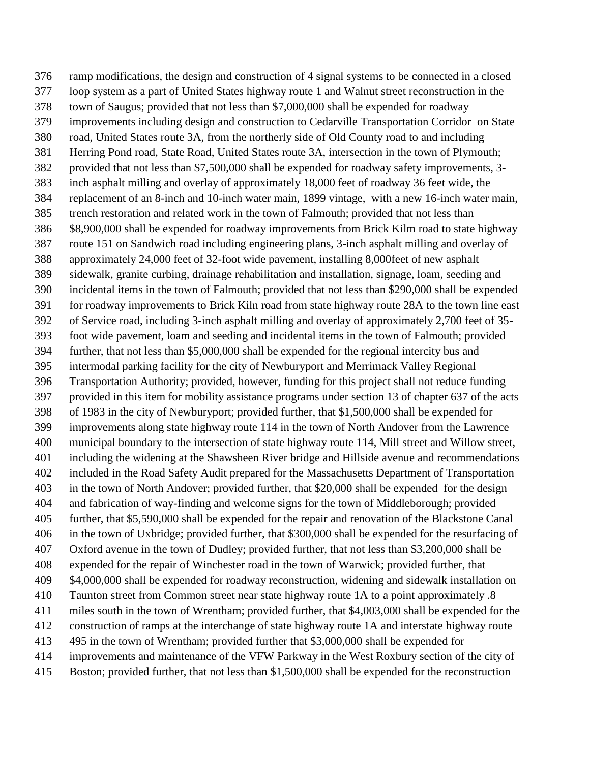ramp modifications, the design and construction of 4 signal systems to be connected in a closed loop system as a part of United States highway route 1 and Walnut street reconstruction in the town of Saugus; provided that not less than \$7,000,000 shall be expended for roadway improvements including design and construction to Cedarville Transportation Corridor on State road, United States route 3A, from the northerly side of Old County road to and including Herring Pond road, State Road, United States route 3A, intersection in the town of Plymouth; provided that not less than \$7,500,000 shall be expended for roadway safety improvements, 3- inch asphalt milling and overlay of approximately 18,000 feet of roadway 36 feet wide, the replacement of an 8-inch and 10-inch water main, 1899 vintage, with a new 16-inch water main, trench restoration and related work in the town of Falmouth; provided that not less than \$8,900,000 shall be expended for roadway improvements from Brick Kilm road to state highway route 151 on Sandwich road including engineering plans, 3-inch asphalt milling and overlay of approximately 24,000 feet of 32-foot wide pavement, installing 8,000feet of new asphalt sidewalk, granite curbing, drainage rehabilitation and installation, signage, loam, seeding and incidental items in the town of Falmouth; provided that not less than \$290,000 shall be expended for roadway improvements to Brick Kiln road from state highway route 28A to the town line east of Service road, including 3-inch asphalt milling and overlay of approximately 2,700 feet of 35- foot wide pavement, loam and seeding and incidental items in the town of Falmouth; provided further, that not less than \$5,000,000 shall be expended for the regional intercity bus and intermodal parking facility for the city of Newburyport and Merrimack Valley Regional Transportation Authority; provided, however, funding for this project shall not reduce funding provided in this item for mobility assistance programs under section 13 of chapter 637 of the acts of 1983 in the city of Newburyport; provided further, that \$1,500,000 shall be expended for improvements along state highway route 114 in the town of North Andover from the Lawrence municipal boundary to the intersection of state highway route 114, Mill street and Willow street, including the widening at the Shawsheen River bridge and Hillside avenue and recommendations included in the Road Safety Audit prepared for the Massachusetts Department of Transportation in the town of North Andover; provided further, that \$20,000 shall be expended for the design and fabrication of way-finding and welcome signs for the town of Middleborough; provided further, that \$5,590,000 shall be expended for the repair and renovation of the Blackstone Canal in the town of Uxbridge; provided further, that \$300,000 shall be expended for the resurfacing of Oxford avenue in the town of Dudley; provided further, that not less than \$3,200,000 shall be expended for the repair of Winchester road in the town of Warwick; provided further, that \$4,000,000 shall be expended for roadway reconstruction, widening and sidewalk installation on Taunton street from Common street near state highway route 1A to a point approximately .8 miles south in the town of Wrentham; provided further, that \$4,003,000 shall be expended for the construction of ramps at the interchange of state highway route 1A and interstate highway route 495 in the town of Wrentham; provided further that \$3,000,000 shall be expended for improvements and maintenance of the VFW Parkway in the West Roxbury section of the city of Boston; provided further, that not less than \$1,500,000 shall be expended for the reconstruction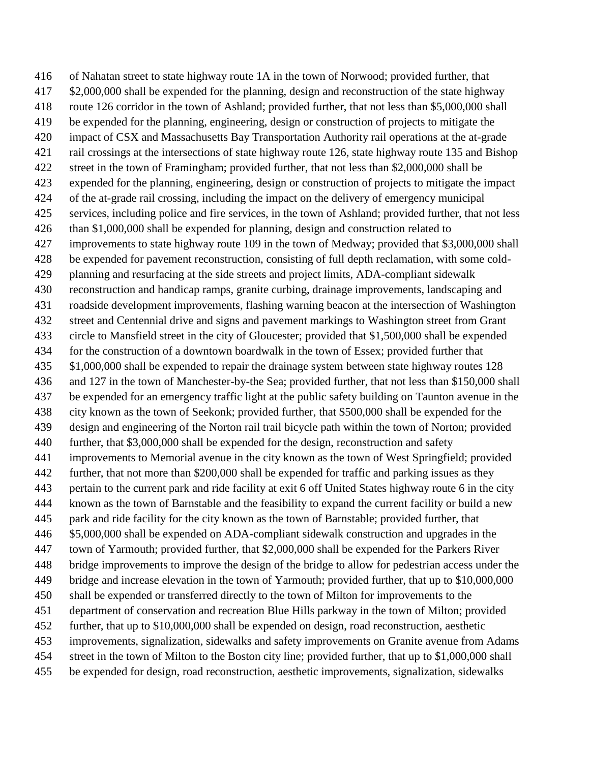of Nahatan street to state highway route 1A in the town of Norwood; provided further, that \$2,000,000 shall be expended for the planning, design and reconstruction of the state highway route 126 corridor in the town of Ashland; provided further, that not less than \$5,000,000 shall be expended for the planning, engineering, design or construction of projects to mitigate the impact of CSX and Massachusetts Bay Transportation Authority rail operations at the at-grade rail crossings at the intersections of state highway route 126, state highway route 135 and Bishop street in the town of Framingham; provided further, that not less than \$2,000,000 shall be expended for the planning, engineering, design or construction of projects to mitigate the impact of the at-grade rail crossing, including the impact on the delivery of emergency municipal services, including police and fire services, in the town of Ashland; provided further, that not less than \$1,000,000 shall be expended for planning, design and construction related to improvements to state highway route 109 in the town of Medway; provided that \$3,000,000 shall be expended for pavement reconstruction, consisting of full depth reclamation, with some cold- planning and resurfacing at the side streets and project limits, ADA-compliant sidewalk reconstruction and handicap ramps, granite curbing, drainage improvements, landscaping and roadside development improvements, flashing warning beacon at the intersection of Washington street and Centennial drive and signs and pavement markings to Washington street from Grant circle to Mansfield street in the city of Gloucester; provided that \$1,500,000 shall be expended for the construction of a downtown boardwalk in the town of Essex; provided further that \$1,000,000 shall be expended to repair the drainage system between state highway routes 128 and 127 in the town of Manchester-by-the Sea; provided further, that not less than \$150,000 shall be expended for an emergency traffic light at the public safety building on Taunton avenue in the city known as the town of Seekonk; provided further, that \$500,000 shall be expended for the design and engineering of the Norton rail trail bicycle path within the town of Norton; provided further, that \$3,000,000 shall be expended for the design, reconstruction and safety improvements to Memorial avenue in the city known as the town of West Springfield; provided further, that not more than \$200,000 shall be expended for traffic and parking issues as they pertain to the current park and ride facility at exit 6 off United States highway route 6 in the city known as the town of Barnstable and the feasibility to expand the current facility or build a new park and ride facility for the city known as the town of Barnstable; provided further, that \$5,000,000 shall be expended on ADA-compliant sidewalk construction and upgrades in the town of Yarmouth; provided further, that \$2,000,000 shall be expended for the Parkers River bridge improvements to improve the design of the bridge to allow for pedestrian access under the bridge and increase elevation in the town of Yarmouth; provided further, that up to \$10,000,000 shall be expended or transferred directly to the town of Milton for improvements to the department of conservation and recreation Blue Hills parkway in the town of Milton; provided further, that up to \$10,000,000 shall be expended on design, road reconstruction, aesthetic improvements, signalization, sidewalks and safety improvements on Granite avenue from Adams street in the town of Milton to the Boston city line; provided further, that up to \$1,000,000 shall be expended for design, road reconstruction, aesthetic improvements, signalization, sidewalks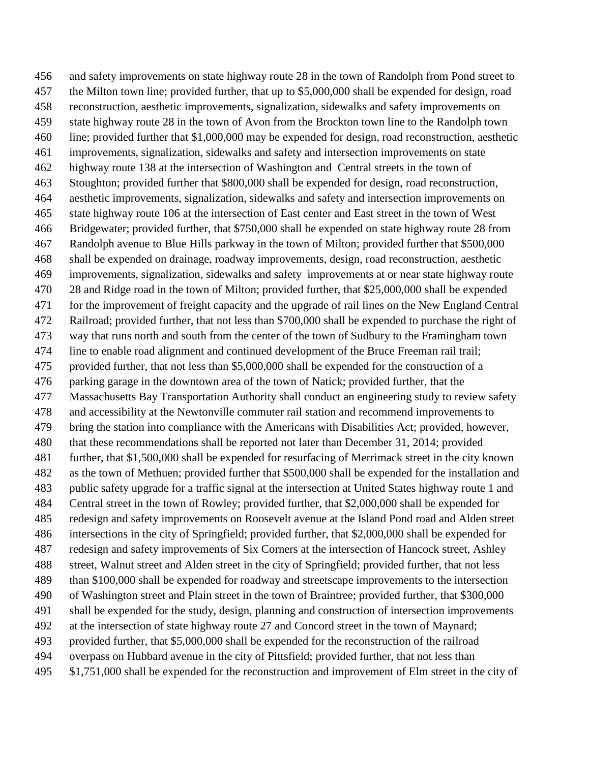and safety improvements on state highway route 28 in the town of Randolph from Pond street to the Milton town line; provided further, that up to \$5,000,000 shall be expended for design, road reconstruction, aesthetic improvements, signalization, sidewalks and safety improvements on state highway route 28 in the town of Avon from the Brockton town line to the Randolph town line; provided further that \$1,000,000 may be expended for design, road reconstruction, aesthetic improvements, signalization, sidewalks and safety and intersection improvements on state highway route 138 at the intersection of Washington and Central streets in the town of Stoughton; provided further that \$800,000 shall be expended for design, road reconstruction, aesthetic improvements, signalization, sidewalks and safety and intersection improvements on state highway route 106 at the intersection of East center and East street in the town of West Bridgewater; provided further, that \$750,000 shall be expended on state highway route 28 from Randolph avenue to Blue Hills parkway in the town of Milton; provided further that \$500,000 shall be expended on drainage, roadway improvements, design, road reconstruction, aesthetic improvements, signalization, sidewalks and safety improvements at or near state highway route 28 and Ridge road in the town of Milton; provided further, that \$25,000,000 shall be expended for the improvement of freight capacity and the upgrade of rail lines on the New England Central Railroad; provided further, that not less than \$700,000 shall be expended to purchase the right of way that runs north and south from the center of the town of Sudbury to the Framingham town line to enable road alignment and continued development of the Bruce Freeman rail trail; provided further, that not less than \$5,000,000 shall be expended for the construction of a parking garage in the downtown area of the town of Natick; provided further, that the Massachusetts Bay Transportation Authority shall conduct an engineering study to review safety and accessibility at the Newtonville commuter rail station and recommend improvements to bring the station into compliance with the Americans with Disabilities Act; provided, however, that these recommendations shall be reported not later than December 31, 2014; provided further, that \$1,500,000 shall be expended for resurfacing of Merrimack street in the city known as the town of Methuen; provided further that \$500,000 shall be expended for the installation and public safety upgrade for a traffic signal at the intersection at United States highway route 1 and Central street in the town of Rowley; provided further, that \$2,000,000 shall be expended for redesign and safety improvements on Roosevelt avenue at the Island Pond road and Alden street intersections in the city of Springfield; provided further, that \$2,000,000 shall be expended for redesign and safety improvements of Six Corners at the intersection of Hancock street, Ashley street, Walnut street and Alden street in the city of Springfield; provided further, that not less than \$100,000 shall be expended for roadway and streetscape improvements to the intersection of Washington street and Plain street in the town of Braintree; provided further, that \$300,000 shall be expended for the study, design, planning and construction of intersection improvements at the intersection of state highway route 27 and Concord street in the town of Maynard; provided further, that \$5,000,000 shall be expended for the reconstruction of the railroad overpass on Hubbard avenue in the city of Pittsfield; provided further, that not less than \$1,751,000 shall be expended for the reconstruction and improvement of Elm street in the city of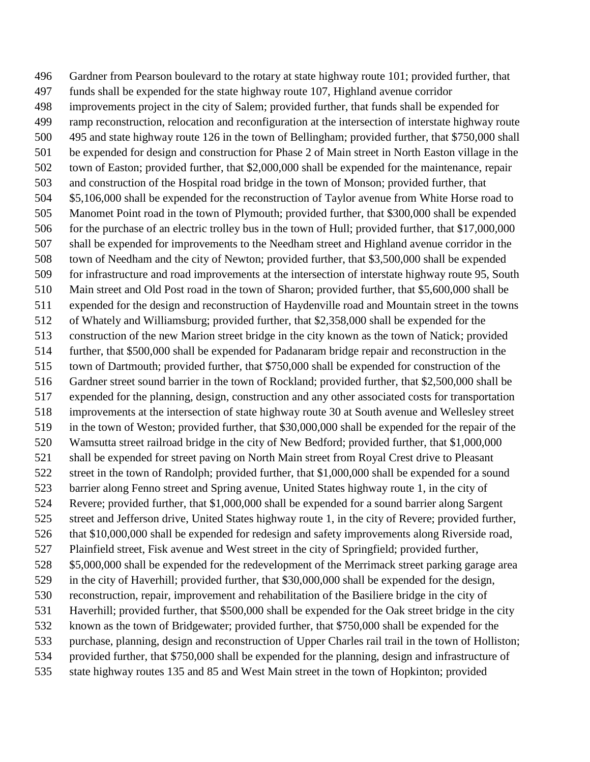Gardner from Pearson boulevard to the rotary at state highway route 101; provided further, that funds shall be expended for the state highway route 107, Highland avenue corridor improvements project in the city of Salem; provided further, that funds shall be expended for ramp reconstruction, relocation and reconfiguration at the intersection of interstate highway route 495 and state highway route 126 in the town of Bellingham; provided further, that \$750,000 shall be expended for design and construction for Phase 2 of Main street in North Easton village in the town of Easton; provided further, that \$2,000,000 shall be expended for the maintenance, repair and construction of the Hospital road bridge in the town of Monson; provided further, that \$5,106,000 shall be expended for the reconstruction of Taylor avenue from White Horse road to Manomet Point road in the town of Plymouth; provided further, that \$300,000 shall be expended 506 for the purchase of an electric trolley bus in the town of Hull; provided further, that \$17,000,000 shall be expended for improvements to the Needham street and Highland avenue corridor in the town of Needham and the city of Newton; provided further, that \$3,500,000 shall be expended for infrastructure and road improvements at the intersection of interstate highway route 95, South Main street and Old Post road in the town of Sharon; provided further, that \$5,600,000 shall be expended for the design and reconstruction of Haydenville road and Mountain street in the towns of Whately and Williamsburg; provided further, that \$2,358,000 shall be expended for the construction of the new Marion street bridge in the city known as the town of Natick; provided further, that \$500,000 shall be expended for Padanaram bridge repair and reconstruction in the town of Dartmouth; provided further, that \$750,000 shall be expended for construction of the Gardner street sound barrier in the town of Rockland; provided further, that \$2,500,000 shall be expended for the planning, design, construction and any other associated costs for transportation improvements at the intersection of state highway route 30 at South avenue and Wellesley street in the town of Weston; provided further, that \$30,000,000 shall be expended for the repair of the Wamsutta street railroad bridge in the city of New Bedford; provided further, that \$1,000,000 shall be expended for street paving on North Main street from Royal Crest drive to Pleasant street in the town of Randolph; provided further, that \$1,000,000 shall be expended for a sound barrier along Fenno street and Spring avenue, United States highway route 1, in the city of Revere; provided further, that \$1,000,000 shall be expended for a sound barrier along Sargent street and Jefferson drive, United States highway route 1, in the city of Revere; provided further, that \$10,000,000 shall be expended for redesign and safety improvements along Riverside road, Plainfield street, Fisk avenue and West street in the city of Springfield; provided further, \$5,000,000 shall be expended for the redevelopment of the Merrimack street parking garage area in the city of Haverhill; provided further, that \$30,000,000 shall be expended for the design, reconstruction, repair, improvement and rehabilitation of the Basiliere bridge in the city of Haverhill; provided further, that \$500,000 shall be expended for the Oak street bridge in the city known as the town of Bridgewater; provided further, that \$750,000 shall be expended for the purchase, planning, design and reconstruction of Upper Charles rail trail in the town of Holliston; provided further, that \$750,000 shall be expended for the planning, design and infrastructure of state highway routes 135 and 85 and West Main street in the town of Hopkinton; provided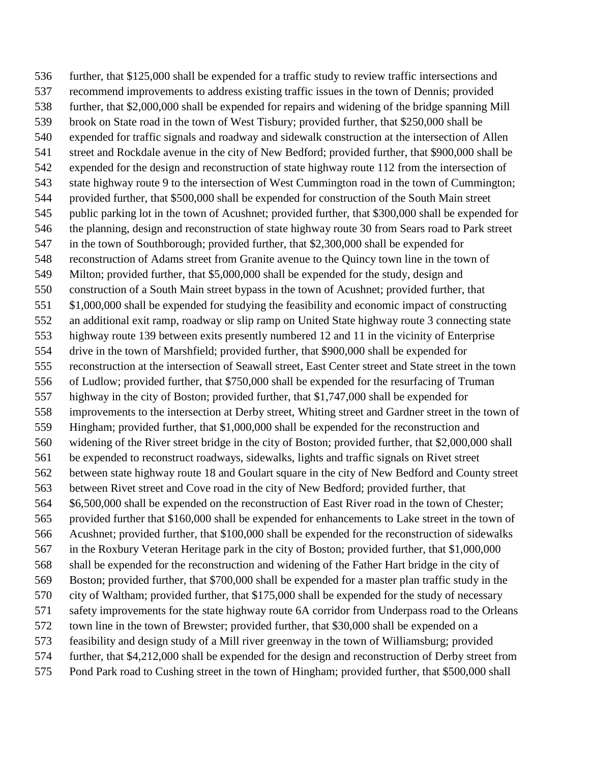further, that \$125,000 shall be expended for a traffic study to review traffic intersections and recommend improvements to address existing traffic issues in the town of Dennis; provided further, that \$2,000,000 shall be expended for repairs and widening of the bridge spanning Mill brook on State road in the town of West Tisbury; provided further, that \$250,000 shall be expended for traffic signals and roadway and sidewalk construction at the intersection of Allen street and Rockdale avenue in the city of New Bedford; provided further, that \$900,000 shall be expended for the design and reconstruction of state highway route 112 from the intersection of state highway route 9 to the intersection of West Cummington road in the town of Cummington; provided further, that \$500,000 shall be expended for construction of the South Main street public parking lot in the town of Acushnet; provided further, that \$300,000 shall be expended for the planning, design and reconstruction of state highway route 30 from Sears road to Park street in the town of Southborough; provided further, that \$2,300,000 shall be expended for reconstruction of Adams street from Granite avenue to the Quincy town line in the town of Milton; provided further, that \$5,000,000 shall be expended for the study, design and construction of a South Main street bypass in the town of Acushnet; provided further, that \$1,000,000 shall be expended for studying the feasibility and economic impact of constructing an additional exit ramp, roadway or slip ramp on United State highway route 3 connecting state highway route 139 between exits presently numbered 12 and 11 in the vicinity of Enterprise drive in the town of Marshfield; provided further, that \$900,000 shall be expended for reconstruction at the intersection of Seawall street, East Center street and State street in the town of Ludlow; provided further, that \$750,000 shall be expended for the resurfacing of Truman highway in the city of Boston; provided further, that \$1,747,000 shall be expended for improvements to the intersection at Derby street, Whiting street and Gardner street in the town of Hingham; provided further, that \$1,000,000 shall be expended for the reconstruction and widening of the River street bridge in the city of Boston; provided further, that \$2,000,000 shall be expended to reconstruct roadways, sidewalks, lights and traffic signals on Rivet street between state highway route 18 and Goulart square in the city of New Bedford and County street between Rivet street and Cove road in the city of New Bedford; provided further, that \$6,500,000 shall be expended on the reconstruction of East River road in the town of Chester; provided further that \$160,000 shall be expended for enhancements to Lake street in the town of Acushnet; provided further, that \$100,000 shall be expended for the reconstruction of sidewalks in the Roxbury Veteran Heritage park in the city of Boston; provided further, that \$1,000,000 shall be expended for the reconstruction and widening of the Father Hart bridge in the city of Boston; provided further, that \$700,000 shall be expended for a master plan traffic study in the city of Waltham; provided further, that \$175,000 shall be expended for the study of necessary safety improvements for the state highway route 6A corridor from Underpass road to the Orleans town line in the town of Brewster; provided further, that \$30,000 shall be expended on a feasibility and design study of a Mill river greenway in the town of Williamsburg; provided further, that \$4,212,000 shall be expended for the design and reconstruction of Derby street from Pond Park road to Cushing street in the town of Hingham; provided further, that \$500,000 shall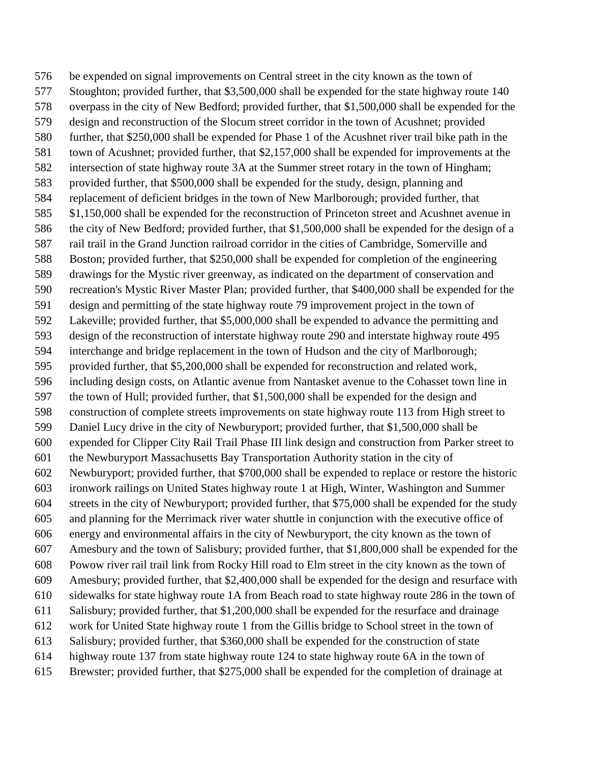be expended on signal improvements on Central street in the city known as the town of Stoughton; provided further, that \$3,500,000 shall be expended for the state highway route 140 overpass in the city of New Bedford; provided further, that \$1,500,000 shall be expended for the design and reconstruction of the Slocum street corridor in the town of Acushnet; provided further, that \$250,000 shall be expended for Phase 1 of the Acushnet river trail bike path in the town of Acushnet; provided further, that \$2,157,000 shall be expended for improvements at the intersection of state highway route 3A at the Summer street rotary in the town of Hingham; provided further, that \$500,000 shall be expended for the study, design, planning and replacement of deficient bridges in the town of New Marlborough; provided further, that \$1,150,000 shall be expended for the reconstruction of Princeton street and Acushnet avenue in the city of New Bedford; provided further, that \$1,500,000 shall be expended for the design of a rail trail in the Grand Junction railroad corridor in the cities of Cambridge, Somerville and Boston; provided further, that \$250,000 shall be expended for completion of the engineering drawings for the Mystic river greenway, as indicated on the department of conservation and recreation's Mystic River Master Plan; provided further, that \$400,000 shall be expended for the design and permitting of the state highway route 79 improvement project in the town of Lakeville; provided further, that \$5,000,000 shall be expended to advance the permitting and design of the reconstruction of interstate highway route 290 and interstate highway route 495 interchange and bridge replacement in the town of Hudson and the city of Marlborough; provided further, that \$5,200,000 shall be expended for reconstruction and related work, including design costs, on Atlantic avenue from Nantasket avenue to the Cohasset town line in the town of Hull; provided further, that \$1,500,000 shall be expended for the design and construction of complete streets improvements on state highway route 113 from High street to Daniel Lucy drive in the city of Newburyport; provided further, that \$1,500,000 shall be expended for Clipper City Rail Trail Phase III link design and construction from Parker street to the Newburyport Massachusetts Bay Transportation Authority station in the city of Newburyport; provided further, that \$700,000 shall be expended to replace or restore the historic ironwork railings on United States highway route 1 at High, Winter, Washington and Summer streets in the city of Newburyport; provided further, that \$75,000 shall be expended for the study and planning for the Merrimack river water shuttle in conjunction with the executive office of energy and environmental affairs in the city of Newburyport, the city known as the town of Amesbury and the town of Salisbury; provided further, that \$1,800,000 shall be expended for the Powow river rail trail link from Rocky Hill road to Elm street in the city known as the town of Amesbury; provided further, that \$2,400,000 shall be expended for the design and resurface with sidewalks for state highway route 1A from Beach road to state highway route 286 in the town of Salisbury; provided further, that \$1,200,000 shall be expended for the resurface and drainage work for United State highway route 1 from the Gillis bridge to School street in the town of Salisbury; provided further, that \$360,000 shall be expended for the construction of state highway route 137 from state highway route 124 to state highway route 6A in the town of Brewster; provided further, that \$275,000 shall be expended for the completion of drainage at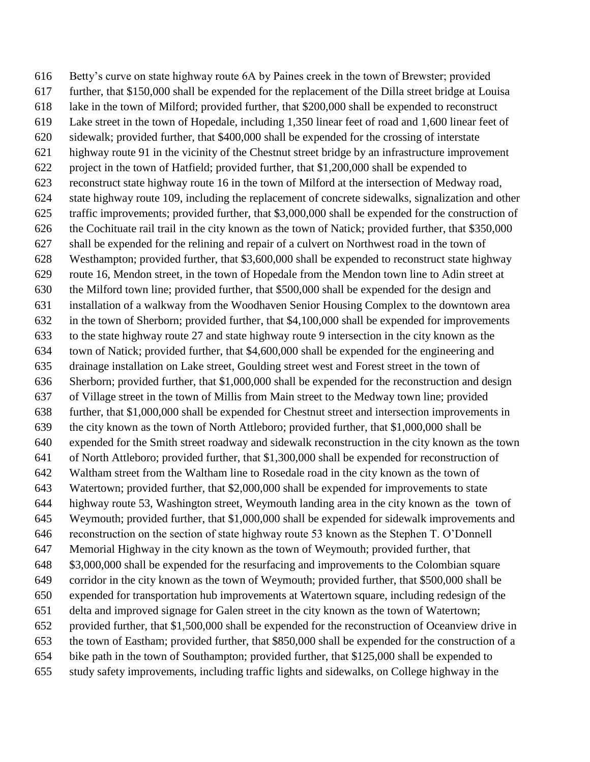Betty's curve on state highway route 6A by Paines creek in the town of Brewster; provided further, that \$150,000 shall be expended for the replacement of the Dilla street bridge at Louisa lake in the town of Milford; provided further, that \$200,000 shall be expended to reconstruct Lake street in the town of Hopedale, including 1,350 linear feet of road and 1,600 linear feet of sidewalk; provided further, that \$400,000 shall be expended for the crossing of interstate highway route 91 in the vicinity of the Chestnut street bridge by an infrastructure improvement project in the town of Hatfield; provided further, that \$1,200,000 shall be expended to reconstruct state highway route 16 in the town of Milford at the intersection of Medway road, state highway route 109, including the replacement of concrete sidewalks, signalization and other traffic improvements; provided further, that \$3,000,000 shall be expended for the construction of the Cochituate rail trail in the city known as the town of Natick; provided further, that \$350,000 shall be expended for the relining and repair of a culvert on Northwest road in the town of Westhampton; provided further, that \$3,600,000 shall be expended to reconstruct state highway route 16, Mendon street, in the town of Hopedale from the Mendon town line to Adin street at the Milford town line; provided further, that \$500,000 shall be expended for the design and installation of a walkway from the Woodhaven Senior Housing Complex to the downtown area in the town of Sherborn; provided further, that \$4,100,000 shall be expended for improvements to the state highway route 27 and state highway route 9 intersection in the city known as the town of Natick; provided further, that \$4,600,000 shall be expended for the engineering and drainage installation on Lake street, Goulding street west and Forest street in the town of Sherborn; provided further, that \$1,000,000 shall be expended for the reconstruction and design of Village street in the town of Millis from Main street to the Medway town line; provided further, that \$1,000,000 shall be expended for Chestnut street and intersection improvements in the city known as the town of North Attleboro; provided further, that \$1,000,000 shall be expended for the Smith street roadway and sidewalk reconstruction in the city known as the town of North Attleboro; provided further, that \$1,300,000 shall be expended for reconstruction of Waltham street from the Waltham line to Rosedale road in the city known as the town of Watertown; provided further, that \$2,000,000 shall be expended for improvements to state highway route 53, Washington street, Weymouth landing area in the city known as the town of Weymouth; provided further, that \$1,000,000 shall be expended for sidewalk improvements and reconstruction on the section of state highway route 53 known as the Stephen T. O'Donnell Memorial Highway in the city known as the town of Weymouth; provided further, that \$3,000,000 shall be expended for the resurfacing and improvements to the Colombian square corridor in the city known as the town of Weymouth; provided further, that \$500,000 shall be expended for transportation hub improvements at Watertown square, including redesign of the delta and improved signage for Galen street in the city known as the town of Watertown; provided further, that \$1,500,000 shall be expended for the reconstruction of Oceanview drive in the town of Eastham; provided further, that \$850,000 shall be expended for the construction of a bike path in the town of Southampton; provided further, that \$125,000 shall be expended to study safety improvements, including traffic lights and sidewalks, on College highway in the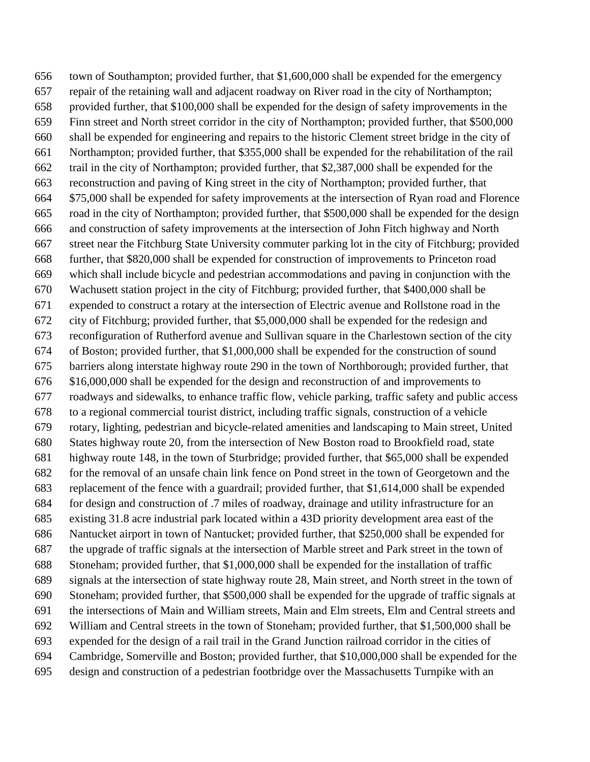town of Southampton; provided further, that \$1,600,000 shall be expended for the emergency repair of the retaining wall and adjacent roadway on River road in the city of Northampton; provided further, that \$100,000 shall be expended for the design of safety improvements in the Finn street and North street corridor in the city of Northampton; provided further, that \$500,000 shall be expended for engineering and repairs to the historic Clement street bridge in the city of Northampton; provided further, that \$355,000 shall be expended for the rehabilitation of the rail trail in the city of Northampton; provided further, that \$2,387,000 shall be expended for the reconstruction and paving of King street in the city of Northampton; provided further, that \$75,000 shall be expended for safety improvements at the intersection of Ryan road and Florence road in the city of Northampton; provided further, that \$500,000 shall be expended for the design and construction of safety improvements at the intersection of John Fitch highway and North street near the Fitchburg State University commuter parking lot in the city of Fitchburg; provided further, that \$820,000 shall be expended for construction of improvements to Princeton road which shall include bicycle and pedestrian accommodations and paving in conjunction with the Wachusett station project in the city of Fitchburg; provided further, that \$400,000 shall be expended to construct a rotary at the intersection of Electric avenue and Rollstone road in the city of Fitchburg; provided further, that \$5,000,000 shall be expended for the redesign and reconfiguration of Rutherford avenue and Sullivan square in the Charlestown section of the city of Boston; provided further, that \$1,000,000 shall be expended for the construction of sound barriers along interstate highway route 290 in the town of Northborough; provided further, that \$16,000,000 shall be expended for the design and reconstruction of and improvements to roadways and sidewalks, to enhance traffic flow, vehicle parking, traffic safety and public access to a regional commercial tourist district, including traffic signals, construction of a vehicle rotary, lighting, pedestrian and bicycle-related amenities and landscaping to Main street, United States highway route 20, from the intersection of New Boston road to Brookfield road, state highway route 148, in the town of Sturbridge; provided further, that \$65,000 shall be expended for the removal of an unsafe chain link fence on Pond street in the town of Georgetown and the replacement of the fence with a guardrail; provided further, that \$1,614,000 shall be expended for design and construction of .7 miles of roadway, drainage and utility infrastructure for an existing 31.8 acre industrial park located within a 43D priority development area east of the Nantucket airport in town of Nantucket; provided further, that \$250,000 shall be expended for the upgrade of traffic signals at the intersection of Marble street and Park street in the town of Stoneham; provided further, that \$1,000,000 shall be expended for the installation of traffic signals at the intersection of state highway route 28, Main street, and North street in the town of Stoneham; provided further, that \$500,000 shall be expended for the upgrade of traffic signals at the intersections of Main and William streets, Main and Elm streets, Elm and Central streets and William and Central streets in the town of Stoneham; provided further, that \$1,500,000 shall be expended for the design of a rail trail in the Grand Junction railroad corridor in the cities of Cambridge, Somerville and Boston; provided further, that \$10,000,000 shall be expended for the design and construction of a pedestrian footbridge over the Massachusetts Turnpike with an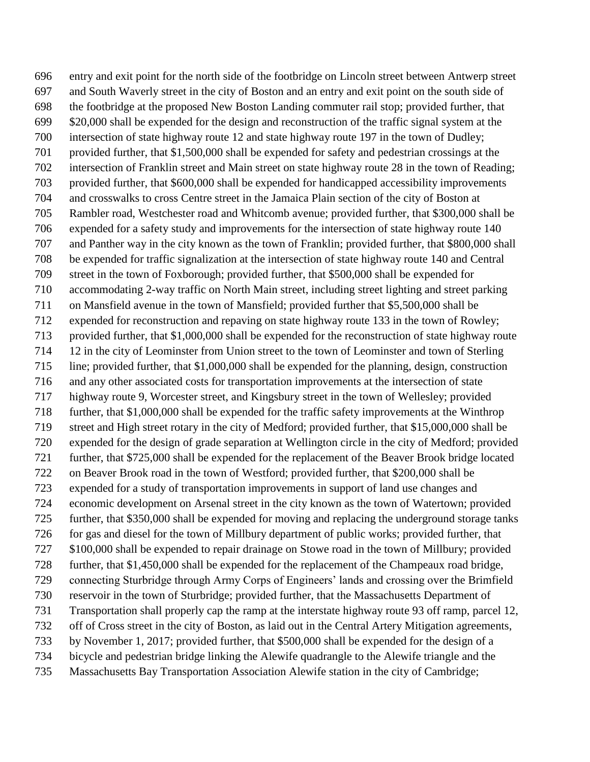entry and exit point for the north side of the footbridge on Lincoln street between Antwerp street and South Waverly street in the city of Boston and an entry and exit point on the south side of the footbridge at the proposed New Boston Landing commuter rail stop; provided further, that \$20,000 shall be expended for the design and reconstruction of the traffic signal system at the intersection of state highway route 12 and state highway route 197 in the town of Dudley; provided further, that \$1,500,000 shall be expended for safety and pedestrian crossings at the intersection of Franklin street and Main street on state highway route 28 in the town of Reading; provided further, that \$600,000 shall be expended for handicapped accessibility improvements and crosswalks to cross Centre street in the Jamaica Plain section of the city of Boston at Rambler road, Westchester road and Whitcomb avenue; provided further, that \$300,000 shall be expended for a safety study and improvements for the intersection of state highway route 140 and Panther way in the city known as the town of Franklin; provided further, that \$800,000 shall be expended for traffic signalization at the intersection of state highway route 140 and Central street in the town of Foxborough; provided further, that \$500,000 shall be expended for accommodating 2-way traffic on North Main street, including street lighting and street parking on Mansfield avenue in the town of Mansfield; provided further that \$5,500,000 shall be expended for reconstruction and repaving on state highway route 133 in the town of Rowley; provided further, that \$1,000,000 shall be expended for the reconstruction of state highway route 12 in the city of Leominster from Union street to the town of Leominster and town of Sterling line; provided further, that \$1,000,000 shall be expended for the planning, design, construction and any other associated costs for transportation improvements at the intersection of state highway route 9, Worcester street, and Kingsbury street in the town of Wellesley; provided further, that \$1,000,000 shall be expended for the traffic safety improvements at the Winthrop street and High street rotary in the city of Medford; provided further, that \$15,000,000 shall be expended for the design of grade separation at Wellington circle in the city of Medford; provided further, that \$725,000 shall be expended for the replacement of the Beaver Brook bridge located on Beaver Brook road in the town of Westford; provided further, that \$200,000 shall be expended for a study of transportation improvements in support of land use changes and economic development on Arsenal street in the city known as the town of Watertown; provided further, that \$350,000 shall be expended for moving and replacing the underground storage tanks for gas and diesel for the town of Millbury department of public works; provided further, that \$100,000 shall be expended to repair drainage on Stowe road in the town of Millbury; provided further, that \$1,450,000 shall be expended for the replacement of the Champeaux road bridge, connecting Sturbridge through Army Corps of Engineers' lands and crossing over the Brimfield reservoir in the town of Sturbridge; provided further, that the Massachusetts Department of Transportation shall properly cap the ramp at the interstate highway route 93 off ramp, parcel 12, off of Cross street in the city of Boston, as laid out in the Central Artery Mitigation agreements, by November 1, 2017; provided further, that \$500,000 shall be expended for the design of a bicycle and pedestrian bridge linking the Alewife quadrangle to the Alewife triangle and the Massachusetts Bay Transportation Association Alewife station in the city of Cambridge;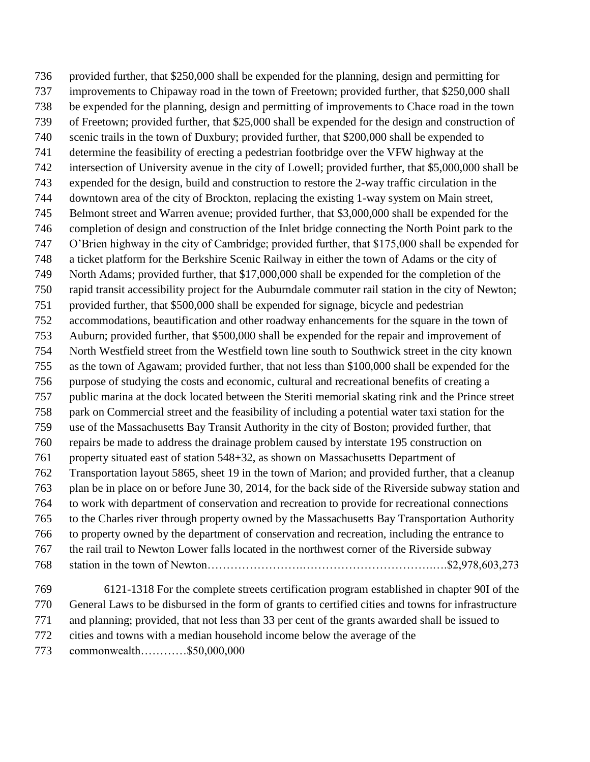provided further, that \$250,000 shall be expended for the planning, design and permitting for improvements to Chipaway road in the town of Freetown; provided further, that \$250,000 shall be expended for the planning, design and permitting of improvements to Chace road in the town of Freetown; provided further, that \$25,000 shall be expended for the design and construction of scenic trails in the town of Duxbury; provided further, that \$200,000 shall be expended to determine the feasibility of erecting a pedestrian footbridge over the VFW highway at the intersection of University avenue in the city of Lowell; provided further, that \$5,000,000 shall be expended for the design, build and construction to restore the 2-way traffic circulation in the downtown area of the city of Brockton, replacing the existing 1-way system on Main street, Belmont street and Warren avenue; provided further, that \$3,000,000 shall be expended for the completion of design and construction of the Inlet bridge connecting the North Point park to the O'Brien highway in the city of Cambridge; provided further, that \$175,000 shall be expended for a ticket platform for the Berkshire Scenic Railway in either the town of Adams or the city of North Adams; provided further, that \$17,000,000 shall be expended for the completion of the rapid transit accessibility project for the Auburndale commuter rail station in the city of Newton; provided further, that \$500,000 shall be expended for signage, bicycle and pedestrian accommodations, beautification and other roadway enhancements for the square in the town of Auburn; provided further, that \$500,000 shall be expended for the repair and improvement of North Westfield street from the Westfield town line south to Southwick street in the city known as the town of Agawam; provided further, that not less than \$100,000 shall be expended for the purpose of studying the costs and economic, cultural and recreational benefits of creating a public marina at the dock located between the Steriti memorial skating rink and the Prince street park on Commercial street and the feasibility of including a potential water taxi station for the use of the Massachusetts Bay Transit Authority in the city of Boston; provided further, that repairs be made to address the drainage problem caused by interstate 195 construction on property situated east of station 548+32, as shown on Massachusetts Department of Transportation layout 5865, sheet 19 in the town of Marion; and provided further, that a cleanup plan be in place on or before June 30, 2014, for the back side of the Riverside subway station and to work with department of conservation and recreation to provide for recreational connections to the Charles river through property owned by the Massachusetts Bay Transportation Authority to property owned by the department of conservation and recreation, including the entrance to the rail trail to Newton Lower falls located in the northwest corner of the Riverside subway station in the town of Newton…………………….…………………………….….\$2,978,603,273 6121-1318 For the complete streets certification program established in chapter 90I of the General Laws to be disbursed in the form of grants to certified cities and towns for infrastructure and planning; provided, that not less than 33 per cent of the grants awarded shall be issued to

cities and towns with a median household income below the average of the

commonwealth…………\$50,000,000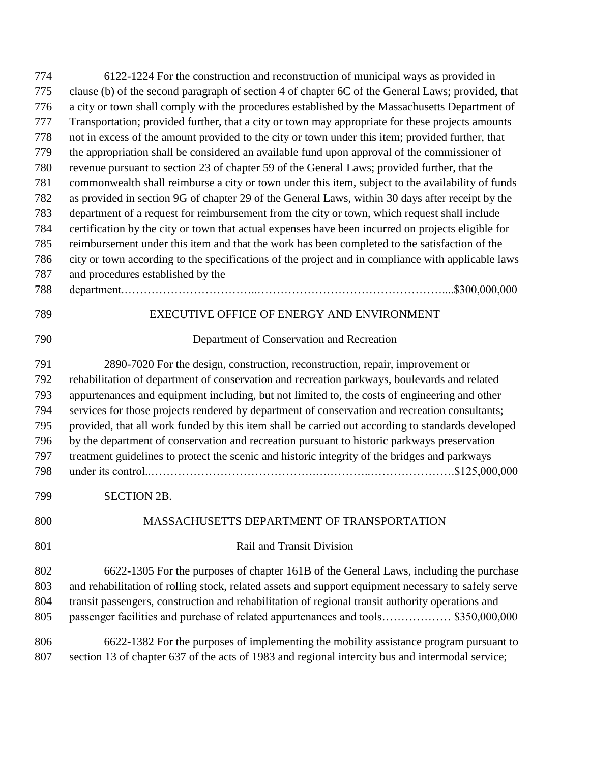| 774 | 6122-1224 For the construction and reconstruction of municipal ways as provided in                  |
|-----|-----------------------------------------------------------------------------------------------------|
| 775 | clause (b) of the second paragraph of section 4 of chapter 6C of the General Laws; provided, that   |
| 776 | a city or town shall comply with the procedures established by the Massachusetts Department of      |
| 777 | Transportation; provided further, that a city or town may appropriate for these projects amounts    |
| 778 | not in excess of the amount provided to the city or town under this item; provided further, that    |
| 779 | the appropriation shall be considered an available fund upon approval of the commissioner of        |
| 780 | revenue pursuant to section 23 of chapter 59 of the General Laws; provided further, that the        |
| 781 | commonwealth shall reimburse a city or town under this item, subject to the availability of funds   |
| 782 | as provided in section 9G of chapter 29 of the General Laws, within 30 days after receipt by the    |
| 783 | department of a request for reimbursement from the city or town, which request shall include        |
| 784 | certification by the city or town that actual expenses have been incurred on projects eligible for  |
| 785 | reimbursement under this item and that the work has been completed to the satisfaction of the       |
| 786 | city or town according to the specifications of the project and in compliance with applicable laws  |
| 787 | and procedures established by the                                                                   |
| 788 | \$300,000,000                                                                                       |
| 789 | EXECUTIVE OFFICE OF ENERGY AND ENVIRONMENT                                                          |
| 790 | Department of Conservation and Recreation                                                           |
| 791 | 2890-7020 For the design, construction, reconstruction, repair, improvement or                      |
| 792 | rehabilitation of department of conservation and recreation parkways, boulevards and related        |
| 793 | appurtenances and equipment including, but not limited to, the costs of engineering and other       |
| 794 | services for those projects rendered by department of conservation and recreation consultants;      |
| 795 | provided, that all work funded by this item shall be carried out according to standards developed   |
| 796 | by the department of conservation and recreation pursuant to historic parkways preservation         |
| 797 | treatment guidelines to protect the scenic and historic integrity of the bridges and parkways       |
| 798 | $. \$125,000,000$                                                                                   |
| 799 | <b>SECTION 2B.</b>                                                                                  |
| 800 | MASSACHUSETTS DEPARTMENT OF TRANSPORTATION                                                          |
| 801 | <b>Rail and Transit Division</b>                                                                    |
| 802 | 6622-1305 For the purposes of chapter 161B of the General Laws, including the purchase              |
| 803 | and rehabilitation of rolling stock, related assets and support equipment necessary to safely serve |
| 804 | transit passengers, construction and rehabilitation of regional transit authority operations and    |
| 805 | passenger facilities and purchase of related appurtenances and tools \$350,000,000                  |
| 806 | 6622-1382 For the purposes of implementing the mobility assistance program pursuant to              |
| 807 | section 13 of chapter 637 of the acts of 1983 and regional intercity bus and intermodal service;    |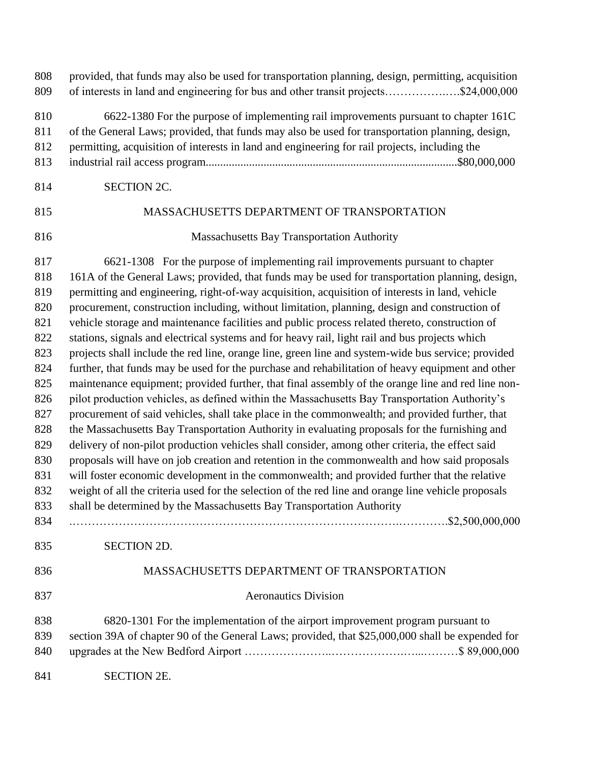| 808<br>809                                                                                                                 | provided, that funds may also be used for transportation planning, design, permitting, acquisition<br>of interests in land and engineering for bus and other transit projects\$24,000,000                                                                                                                                                                                                                                                                                                                                                                                                                                                                                                                                                                                                                                                                                                                                                                                                                                                                                                                                                                                                                                                                                                                                                                                                                                                                                                                                                                                                                                                                                                        |
|----------------------------------------------------------------------------------------------------------------------------|--------------------------------------------------------------------------------------------------------------------------------------------------------------------------------------------------------------------------------------------------------------------------------------------------------------------------------------------------------------------------------------------------------------------------------------------------------------------------------------------------------------------------------------------------------------------------------------------------------------------------------------------------------------------------------------------------------------------------------------------------------------------------------------------------------------------------------------------------------------------------------------------------------------------------------------------------------------------------------------------------------------------------------------------------------------------------------------------------------------------------------------------------------------------------------------------------------------------------------------------------------------------------------------------------------------------------------------------------------------------------------------------------------------------------------------------------------------------------------------------------------------------------------------------------------------------------------------------------------------------------------------------------------------------------------------------------|
| 810<br>811<br>812<br>813                                                                                                   | 6622-1380 For the purpose of implementing rail improvements pursuant to chapter 161C<br>of the General Laws; provided, that funds may also be used for transportation planning, design,<br>permitting, acquisition of interests in land and engineering for rail projects, including the                                                                                                                                                                                                                                                                                                                                                                                                                                                                                                                                                                                                                                                                                                                                                                                                                                                                                                                                                                                                                                                                                                                                                                                                                                                                                                                                                                                                         |
| 814                                                                                                                        | SECTION 2C.                                                                                                                                                                                                                                                                                                                                                                                                                                                                                                                                                                                                                                                                                                                                                                                                                                                                                                                                                                                                                                                                                                                                                                                                                                                                                                                                                                                                                                                                                                                                                                                                                                                                                      |
| 815                                                                                                                        | MASSACHUSETTS DEPARTMENT OF TRANSPORTATION                                                                                                                                                                                                                                                                                                                                                                                                                                                                                                                                                                                                                                                                                                                                                                                                                                                                                                                                                                                                                                                                                                                                                                                                                                                                                                                                                                                                                                                                                                                                                                                                                                                       |
| 816                                                                                                                        | Massachusetts Bay Transportation Authority                                                                                                                                                                                                                                                                                                                                                                                                                                                                                                                                                                                                                                                                                                                                                                                                                                                                                                                                                                                                                                                                                                                                                                                                                                                                                                                                                                                                                                                                                                                                                                                                                                                       |
| 817<br>818<br>819<br>820<br>821<br>822<br>823<br>824<br>825<br>826<br>827<br>828<br>829<br>830<br>831<br>832<br>833<br>834 | 6621-1308 For the purpose of implementing rail improvements pursuant to chapter<br>161A of the General Laws; provided, that funds may be used for transportation planning, design,<br>permitting and engineering, right-of-way acquisition, acquisition of interests in land, vehicle<br>procurement, construction including, without limitation, planning, design and construction of<br>vehicle storage and maintenance facilities and public process related thereto, construction of<br>stations, signals and electrical systems and for heavy rail, light rail and bus projects which<br>projects shall include the red line, orange line, green line and system-wide bus service; provided<br>further, that funds may be used for the purchase and rehabilitation of heavy equipment and other<br>maintenance equipment; provided further, that final assembly of the orange line and red line non-<br>pilot production vehicles, as defined within the Massachusetts Bay Transportation Authority's<br>procurement of said vehicles, shall take place in the commonwealth; and provided further, that<br>the Massachusetts Bay Transportation Authority in evaluating proposals for the furnishing and<br>delivery of non-pilot production vehicles shall consider, among other criteria, the effect said<br>proposals will have on job creation and retention in the commonwealth and how said proposals<br>will foster economic development in the commonwealth; and provided further that the relative<br>weight of all the criteria used for the selection of the red line and orange line vehicle proposals<br>shall be determined by the Massachusetts Bay Transportation Authority |
| 835                                                                                                                        | SECTION 2D.                                                                                                                                                                                                                                                                                                                                                                                                                                                                                                                                                                                                                                                                                                                                                                                                                                                                                                                                                                                                                                                                                                                                                                                                                                                                                                                                                                                                                                                                                                                                                                                                                                                                                      |
| 836                                                                                                                        | MASSACHUSETTS DEPARTMENT OF TRANSPORTATION                                                                                                                                                                                                                                                                                                                                                                                                                                                                                                                                                                                                                                                                                                                                                                                                                                                                                                                                                                                                                                                                                                                                                                                                                                                                                                                                                                                                                                                                                                                                                                                                                                                       |
| 837                                                                                                                        | <b>Aeronautics Division</b>                                                                                                                                                                                                                                                                                                                                                                                                                                                                                                                                                                                                                                                                                                                                                                                                                                                                                                                                                                                                                                                                                                                                                                                                                                                                                                                                                                                                                                                                                                                                                                                                                                                                      |
| 838<br>839<br>840                                                                                                          | 6820-1301 For the implementation of the airport improvement program pursuant to<br>section 39A of chapter 90 of the General Laws; provided, that \$25,000,000 shall be expended for                                                                                                                                                                                                                                                                                                                                                                                                                                                                                                                                                                                                                                                                                                                                                                                                                                                                                                                                                                                                                                                                                                                                                                                                                                                                                                                                                                                                                                                                                                              |
| 841                                                                                                                        | <b>SECTION 2E.</b>                                                                                                                                                                                                                                                                                                                                                                                                                                                                                                                                                                                                                                                                                                                                                                                                                                                                                                                                                                                                                                                                                                                                                                                                                                                                                                                                                                                                                                                                                                                                                                                                                                                                               |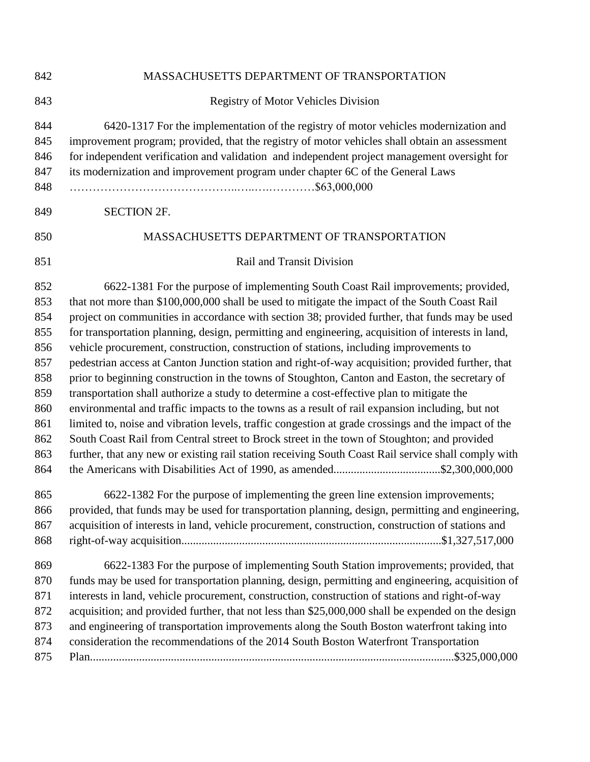| 842        | MASSACHUSETTS DEPARTMENT OF TRANSPORTATION                                                          |
|------------|-----------------------------------------------------------------------------------------------------|
| 843        | <b>Registry of Motor Vehicles Division</b>                                                          |
| 844        | 6420-1317 For the implementation of the registry of motor vehicles modernization and                |
| 845        | improvement program; provided, that the registry of motor vehicles shall obtain an assessment       |
| 846        | for independent verification and validation and independent project management oversight for        |
| 847        | its modernization and improvement program under chapter 6C of the General Laws                      |
| 848        |                                                                                                     |
| 849        | <b>SECTION 2F.</b>                                                                                  |
| 850        | MASSACHUSETTS DEPARTMENT OF TRANSPORTATION                                                          |
| 851        | Rail and Transit Division                                                                           |
| 852        | 6622-1381 For the purpose of implementing South Coast Rail improvements; provided,                  |
| 853        | that not more than \$100,000,000 shall be used to mitigate the impact of the South Coast Rail       |
| 854        | project on communities in accordance with section 38; provided further, that funds may be used      |
| 855        | for transportation planning, design, permitting and engineering, acquisition of interests in land,  |
| 856        | vehicle procurement, construction, construction of stations, including improvements to              |
| 857        | pedestrian access at Canton Junction station and right-of-way acquisition; provided further, that   |
| 858        | prior to beginning construction in the towns of Stoughton, Canton and Easton, the secretary of      |
| 859        | transportation shall authorize a study to determine a cost-effective plan to mitigate the           |
| 860        | environmental and traffic impacts to the towns as a result of rail expansion including, but not     |
| 861        | limited to, noise and vibration levels, traffic congestion at grade crossings and the impact of the |
| 862        | South Coast Rail from Central street to Brock street in the town of Stoughton; and provided         |
| 863<br>864 | further, that any new or existing rail station receiving South Coast Rail service shall comply with |
| 865        | 6622-1382 For the purpose of implementing the green line extension improvements;                    |
| 866        | provided, that funds may be used for transportation planning, design, permitting and engineering,   |
| 867        | acquisition of interests in land, vehicle procurement, construction, construction of stations and   |
| 868        |                                                                                                     |
| 869        | 6622-1383 For the purpose of implementing South Station improvements; provided, that                |
| 870        | funds may be used for transportation planning, design, permitting and engineering, acquisition of   |
| 871        | interests in land, vehicle procurement, construction, construction of stations and right-of-way     |
| 872        | acquisition; and provided further, that not less than \$25,000,000 shall be expended on the design  |
| 873        | and engineering of transportation improvements along the South Boston waterfront taking into        |
| 874        | consideration the recommendations of the 2014 South Boston Waterfront Transportation                |
| 875        |                                                                                                     |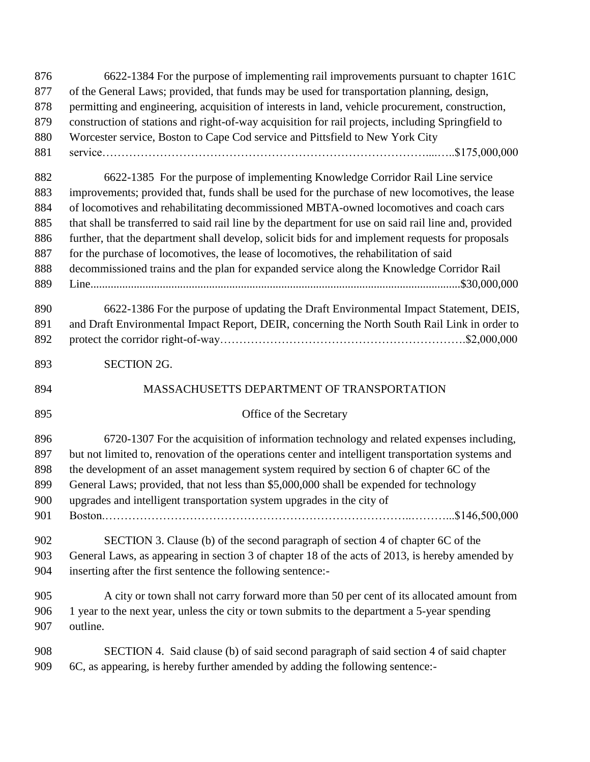| 876 | 6622-1384 For the purpose of implementing rail improvements pursuant to chapter 161C                  |
|-----|-------------------------------------------------------------------------------------------------------|
| 877 | of the General Laws; provided, that funds may be used for transportation planning, design,            |
| 878 | permitting and engineering, acquisition of interests in land, vehicle procurement, construction,      |
| 879 | construction of stations and right-of-way acquisition for rail projects, including Springfield to     |
| 880 | Worcester service, Boston to Cape Cod service and Pittsfield to New York City                         |
| 881 |                                                                                                       |
| 882 | 6622-1385 For the purpose of implementing Knowledge Corridor Rail Line service                        |
| 883 | improvements; provided that, funds shall be used for the purchase of new locomotives, the lease       |
| 884 | of locomotives and rehabilitating decommissioned MBTA-owned locomotives and coach cars                |
| 885 | that shall be transferred to said rail line by the department for use on said rail line and, provided |
| 886 | further, that the department shall develop, solicit bids for and implement requests for proposals     |
| 887 | for the purchase of locomotives, the lease of locomotives, the rehabilitation of said                 |
| 888 | decommissioned trains and the plan for expanded service along the Knowledge Corridor Rail             |
| 889 |                                                                                                       |
| 890 | 6622-1386 For the purpose of updating the Draft Environmental Impact Statement, DEIS,                 |
| 891 | and Draft Environmental Impact Report, DEIR, concerning the North South Rail Link in order to         |
| 892 |                                                                                                       |
| 893 | <b>SECTION 2G.</b>                                                                                    |
| 894 | MASSACHUSETTS DEPARTMENT OF TRANSPORTATION                                                            |
| 895 | Office of the Secretary                                                                               |
| 896 | 6720-1307 For the acquisition of information technology and related expenses including,               |
| 897 | but not limited to, renovation of the operations center and intelligent transportation systems and    |
| 898 | the development of an asset management system required by section 6 of chapter 6C of the              |
| 899 | General Laws; provided, that not less than \$5,000,000 shall be expended for technology               |
| 900 | upgrades and intelligent transportation system upgrades in the city of                                |
| 901 |                                                                                                       |
| 902 | SECTION 3. Clause (b) of the second paragraph of section 4 of chapter 6C of the                       |
| 903 | General Laws, as appearing in section 3 of chapter 18 of the acts of 2013, is hereby amended by       |
| 904 | inserting after the first sentence the following sentence:-                                           |
| 905 | A city or town shall not carry forward more than 50 per cent of its allocated amount from             |
| 906 | 1 year to the next year, unless the city or town submits to the department a 5-year spending          |
| 907 | outline.                                                                                              |
| 908 | SECTION 4. Said clause (b) of said second paragraph of said section 4 of said chapter                 |
| 909 | 6C, as appearing, is hereby further amended by adding the following sentence:-                        |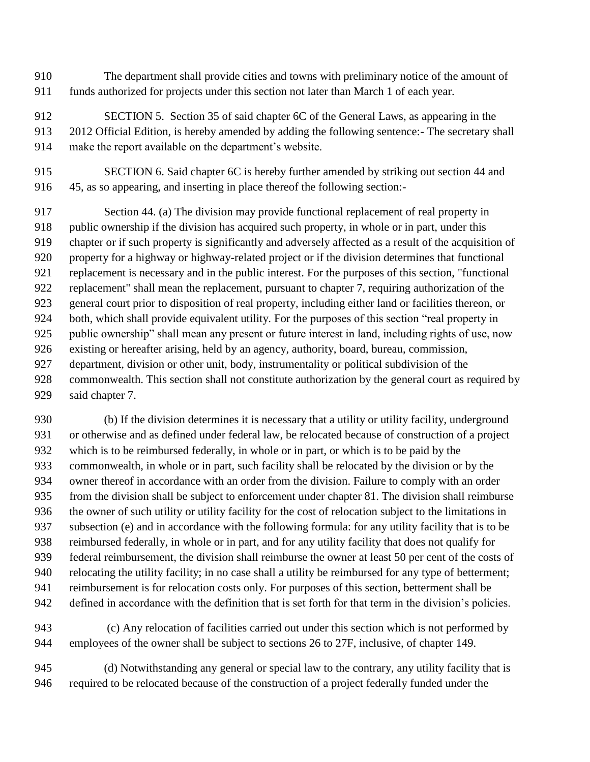- The department shall provide cities and towns with preliminary notice of the amount of funds authorized for projects under this section not later than March 1 of each year.
- SECTION 5. Section 35 of said chapter 6C of the General Laws, as appearing in the 2012 Official Edition, is hereby amended by adding the following sentence:- The secretary shall make the report available on the department's website.
- SECTION 6. Said chapter 6C is hereby further amended by striking out section 44 and 45, as so appearing, and inserting in place thereof the following section:-

 Section 44. (a) The division may provide functional replacement of real property in 918 public ownership if the division has acquired such property, in whole or in part, under this chapter or if such property is significantly and adversely affected as a result of the acquisition of property for a highway or highway-related project or if the division determines that functional replacement is necessary and in the public interest. For the purposes of this section, "functional replacement" shall mean the replacement, pursuant to chapter 7, requiring authorization of the general court prior to disposition of real property, including either land or facilities thereon, or both, which shall provide equivalent utility. For the purposes of this section "real property in public ownership" shall mean any present or future interest in land, including rights of use, now existing or hereafter arising, held by an agency, authority, board, bureau, commission, department, division or other unit, body, instrumentality or political subdivision of the commonwealth. This section shall not constitute authorization by the general court as required by said chapter 7.

 (b) If the division determines it is necessary that a utility or utility facility, underground or otherwise and as defined under federal law, be relocated because of construction of a project which is to be reimbursed federally, in whole or in part, or which is to be paid by the commonwealth, in whole or in part, such facility shall be relocated by the division or by the owner thereof in accordance with an order from the division. Failure to comply with an order from the division shall be subject to enforcement under chapter 81. The division shall reimburse the owner of such utility or utility facility for the cost of relocation subject to the limitations in subsection (e) and in accordance with the following formula: for any utility facility that is to be reimbursed federally, in whole or in part, and for any utility facility that does not qualify for federal reimbursement, the division shall reimburse the owner at least 50 per cent of the costs of relocating the utility facility; in no case shall a utility be reimbursed for any type of betterment; reimbursement is for relocation costs only. For purposes of this section, betterment shall be defined in accordance with the definition that is set forth for that term in the division's policies.

- (c) Any relocation of facilities carried out under this section which is not performed by employees of the owner shall be subject to sections 26 to 27F, inclusive, of chapter 149.
- (d) Notwithstanding any general or special law to the contrary, any utility facility that is required to be relocated because of the construction of a project federally funded under the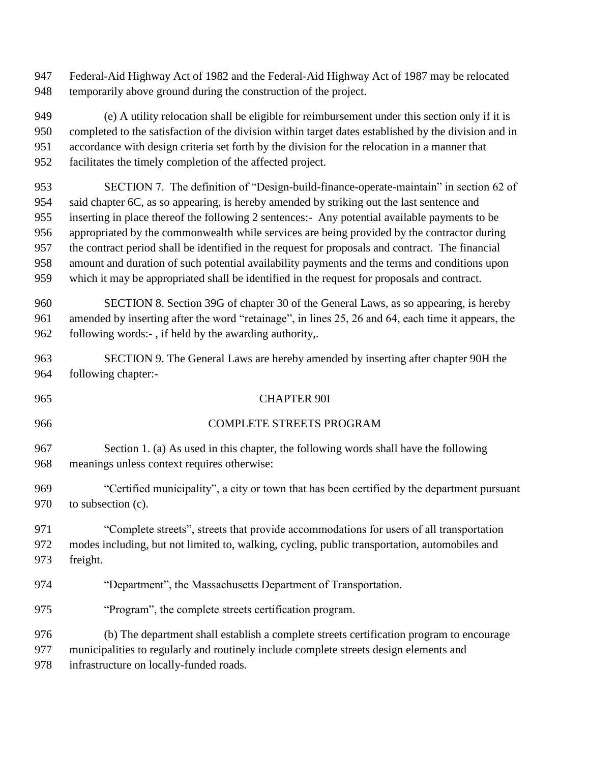Federal-Aid Highway Act of 1982 and the Federal-Aid Highway Act of 1987 may be relocated temporarily above ground during the construction of the project.

 (e) A utility relocation shall be eligible for reimbursement under this section only if it is completed to the satisfaction of the division within target dates established by the division and in accordance with design criteria set forth by the division for the relocation in a manner that facilitates the timely completion of the affected project.

 SECTION 7. The definition of "Design-build-finance-operate-maintain" in section 62 of said chapter 6C, as so appearing, is hereby amended by striking out the last sentence and inserting in place thereof the following 2 sentences:- Any potential available payments to be appropriated by the commonwealth while services are being provided by the contractor during the contract period shall be identified in the request for proposals and contract. The financial amount and duration of such potential availability payments and the terms and conditions upon which it may be appropriated shall be identified in the request for proposals and contract.

 SECTION 8. Section 39G of chapter 30 of the General Laws, as so appearing, is hereby amended by inserting after the word "retainage", in lines 25, 26 and 64, each time it appears, the following words:- , if held by the awarding authority,.

 SECTION 9. The General Laws are hereby amended by inserting after chapter 90H the following chapter:-

COMPLETE STREETS PROGRAM

CHAPTER 90I

 Section 1. (a) As used in this chapter, the following words shall have the following meanings unless context requires otherwise:

 "Certified municipality", a city or town that has been certified by the department pursuant 970 to subsection (c).

 "Complete streets", streets that provide accommodations for users of all transportation modes including, but not limited to, walking, cycling, public transportation, automobiles and freight.

"Department", the Massachusetts Department of Transportation.

"Program", the complete streets certification program.

(b) The department shall establish a complete streets certification program to encourage

municipalities to regularly and routinely include complete streets design elements and

infrastructure on locally-funded roads.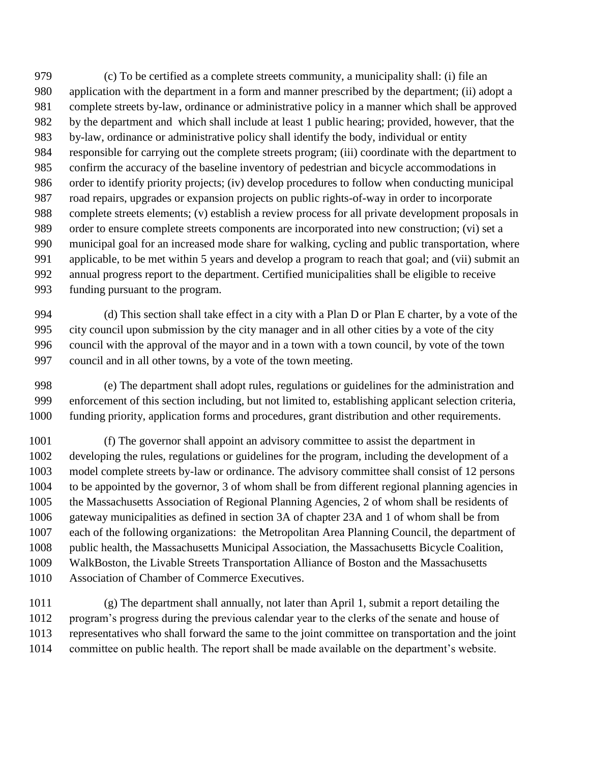(c) To be certified as a complete streets community, a municipality shall: (i) file an application with the department in a form and manner prescribed by the department; (ii) adopt a complete streets by-law, ordinance or administrative policy in a manner which shall be approved by the department and which shall include at least 1 public hearing; provided, however, that the by-law, ordinance or administrative policy shall identify the body, individual or entity responsible for carrying out the complete streets program; (iii) coordinate with the department to confirm the accuracy of the baseline inventory of pedestrian and bicycle accommodations in order to identify priority projects; (iv) develop procedures to follow when conducting municipal road repairs, upgrades or expansion projects on public rights-of-way in order to incorporate complete streets elements; (v) establish a review process for all private development proposals in order to ensure complete streets components are incorporated into new construction; (vi) set a municipal goal for an increased mode share for walking, cycling and public transportation, where applicable, to be met within 5 years and develop a program to reach that goal; and (vii) submit an annual progress report to the department. Certified municipalities shall be eligible to receive funding pursuant to the program.

 (d) This section shall take effect in a city with a Plan D or Plan E charter, by a vote of the city council upon submission by the city manager and in all other cities by a vote of the city council with the approval of the mayor and in a town with a town council, by vote of the town council and in all other towns, by a vote of the town meeting.

 (e) The department shall adopt rules, regulations or guidelines for the administration and enforcement of this section including, but not limited to, establishing applicant selection criteria, funding priority, application forms and procedures, grant distribution and other requirements.

 (f) The governor shall appoint an advisory committee to assist the department in developing the rules, regulations or guidelines for the program, including the development of a model complete streets by-law or ordinance. The advisory committee shall consist of 12 persons to be appointed by the governor, 3 of whom shall be from different regional planning agencies in the Massachusetts Association of Regional Planning Agencies, 2 of whom shall be residents of gateway municipalities as defined in section 3A of chapter 23A and 1 of whom shall be from each of the following organizations: the Metropolitan Area Planning Council, the department of public health, the Massachusetts Municipal Association, the Massachusetts Bicycle Coalition, WalkBoston, the Livable Streets Transportation Alliance of Boston and the Massachusetts Association of Chamber of Commerce Executives.

 (g) The department shall annually, not later than April 1, submit a report detailing the program's progress during the previous calendar year to the clerks of the senate and house of representatives who shall forward the same to the joint committee on transportation and the joint committee on public health. The report shall be made available on the department's website.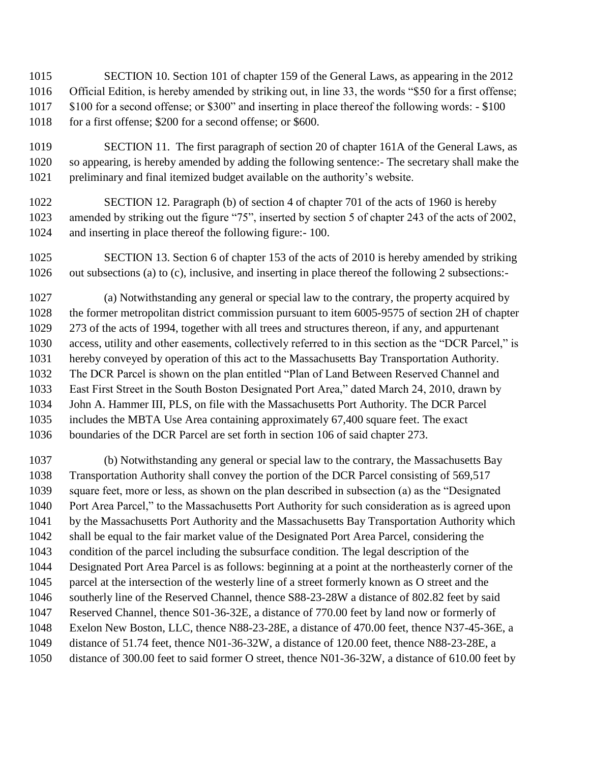SECTION 10. Section 101 of chapter 159 of the General Laws, as appearing in the 2012 Official Edition, is hereby amended by striking out, in line 33, the words "\$50 for a first offense; \$100 for a second offense; or \$300" and inserting in place thereof the following words: - \$100 1018 for a first offense; \$200 for a second offense; or \$600.

- SECTION 11. The first paragraph of section 20 of chapter 161A of the General Laws, as so appearing, is hereby amended by adding the following sentence:- The secretary shall make the preliminary and final itemized budget available on the authority's website.
- SECTION 12. Paragraph (b) of section 4 of chapter 701 of the acts of 1960 is hereby amended by striking out the figure "75", inserted by section 5 of chapter 243 of the acts of 2002, and inserting in place thereof the following figure:- 100.
- SECTION 13. Section 6 of chapter 153 of the acts of 2010 is hereby amended by striking out subsections (a) to (c), inclusive, and inserting in place thereof the following 2 subsections:-

 (a) Notwithstanding any general or special law to the contrary, the property acquired by the former metropolitan district commission pursuant to item 6005-9575 of section 2H of chapter 273 of the acts of 1994, together with all trees and structures thereon, if any, and appurtenant access, utility and other easements, collectively referred to in this section as the "DCR Parcel," is hereby conveyed by operation of this act to the Massachusetts Bay Transportation Authority. The DCR Parcel is shown on the plan entitled "Plan of Land Between Reserved Channel and East First Street in the South Boston Designated Port Area," dated March 24, 2010, drawn by John A. Hammer III, PLS, on file with the Massachusetts Port Authority. The DCR Parcel includes the MBTA Use Area containing approximately 67,400 square feet. The exact boundaries of the DCR Parcel are set forth in section 106 of said chapter 273.

 (b) Notwithstanding any general or special law to the contrary, the Massachusetts Bay Transportation Authority shall convey the portion of the DCR Parcel consisting of 569,517 square feet, more or less, as shown on the plan described in subsection (a) as the "Designated Port Area Parcel," to the Massachusetts Port Authority for such consideration as is agreed upon by the Massachusetts Port Authority and the Massachusetts Bay Transportation Authority which shall be equal to the fair market value of the Designated Port Area Parcel, considering the condition of the parcel including the subsurface condition. The legal description of the Designated Port Area Parcel is as follows: beginning at a point at the northeasterly corner of the parcel at the intersection of the westerly line of a street formerly known as O street and the southerly line of the Reserved Channel, thence S88-23-28W a distance of 802.82 feet by said Reserved Channel, thence S01-36-32E, a distance of 770.00 feet by land now or formerly of Exelon New Boston, LLC, thence N88-23-28E, a distance of 470.00 feet, thence N37-45-36E, a distance of 51.74 feet, thence N01-36-32W, a distance of 120.00 feet, thence N88-23-28E, a distance of 300.00 feet to said former O street, thence N01-36-32W, a distance of 610.00 feet by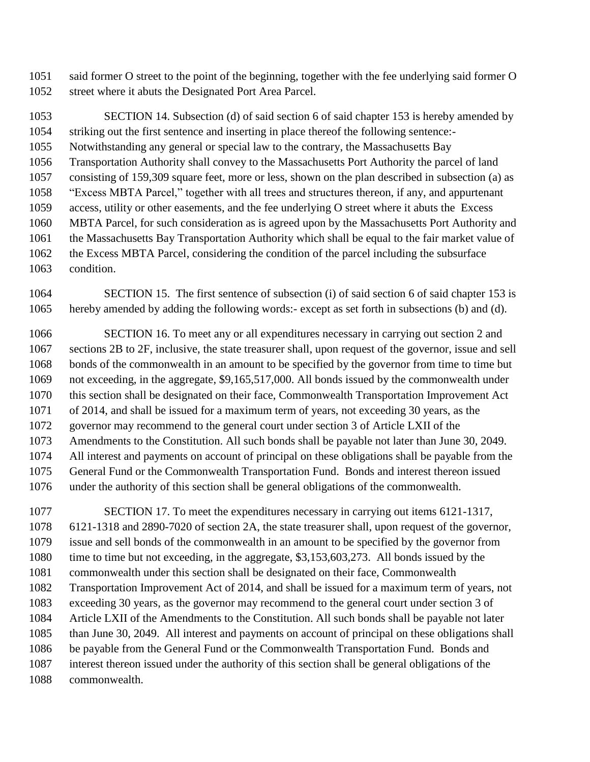said former O street to the point of the beginning, together with the fee underlying said former O street where it abuts the Designated Port Area Parcel.

 SECTION 14. Subsection (d) of said section 6 of said chapter 153 is hereby amended by striking out the first sentence and inserting in place thereof the following sentence:- Notwithstanding any general or special law to the contrary, the Massachusetts Bay Transportation Authority shall convey to the Massachusetts Port Authority the parcel of land consisting of 159,309 square feet, more or less, shown on the plan described in subsection (a) as "Excess MBTA Parcel," together with all trees and structures thereon, if any, and appurtenant access, utility or other easements, and the fee underlying O street where it abuts the Excess MBTA Parcel, for such consideration as is agreed upon by the Massachusetts Port Authority and the Massachusetts Bay Transportation Authority which shall be equal to the fair market value of the Excess MBTA Parcel, considering the condition of the parcel including the subsurface condition.

 SECTION 15. The first sentence of subsection (i) of said section 6 of said chapter 153 is hereby amended by adding the following words:- except as set forth in subsections (b) and (d).

 SECTION 16. To meet any or all expenditures necessary in carrying out section 2 and sections 2B to 2F, inclusive, the state treasurer shall, upon request of the governor, issue and sell bonds of the commonwealth in an amount to be specified by the governor from time to time but not exceeding, in the aggregate, \$9,165,517,000. All bonds issued by the commonwealth under this section shall be designated on their face, Commonwealth Transportation Improvement Act of 2014, and shall be issued for a maximum term of years, not exceeding 30 years, as the governor may recommend to the general court under section 3 of Article LXII of the Amendments to the Constitution. All such bonds shall be payable not later than June 30, 2049. All interest and payments on account of principal on these obligations shall be payable from the General Fund or the Commonwealth Transportation Fund. Bonds and interest thereon issued under the authority of this section shall be general obligations of the commonwealth.

 SECTION 17. To meet the expenditures necessary in carrying out items 6121-1317, 6121-1318 and 2890-7020 of section 2A, the state treasurer shall, upon request of the governor, issue and sell bonds of the commonwealth in an amount to be specified by the governor from time to time but not exceeding, in the aggregate, \$3,153,603,273. All bonds issued by the commonwealth under this section shall be designated on their face, Commonwealth Transportation Improvement Act of 2014, and shall be issued for a maximum term of years, not exceeding 30 years, as the governor may recommend to the general court under section 3 of Article LXII of the Amendments to the Constitution. All such bonds shall be payable not later than June 30, 2049. All interest and payments on account of principal on these obligations shall be payable from the General Fund or the Commonwealth Transportation Fund. Bonds and interest thereon issued under the authority of this section shall be general obligations of the commonwealth.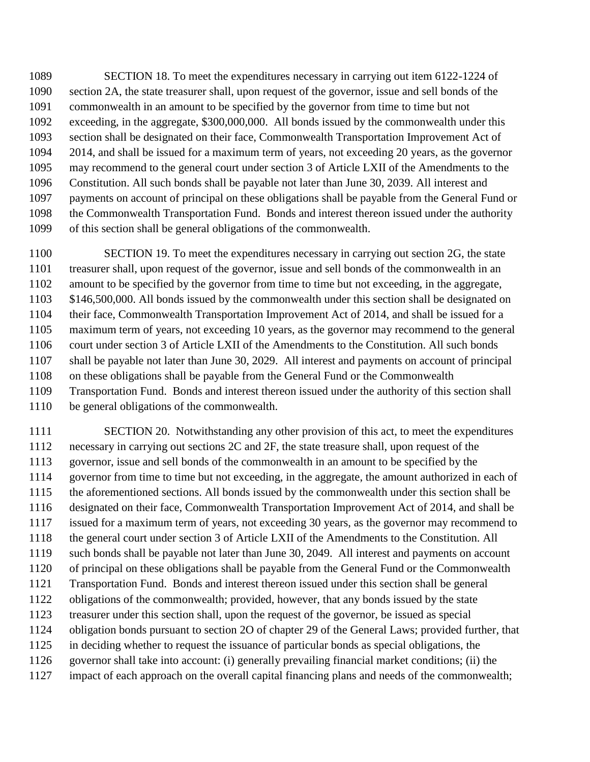SECTION 18. To meet the expenditures necessary in carrying out item 6122-1224 of section 2A, the state treasurer shall, upon request of the governor, issue and sell bonds of the commonwealth in an amount to be specified by the governor from time to time but not exceeding, in the aggregate, \$300,000,000. All bonds issued by the commonwealth under this section shall be designated on their face, Commonwealth Transportation Improvement Act of 2014, and shall be issued for a maximum term of years, not exceeding 20 years, as the governor may recommend to the general court under section 3 of Article LXII of the Amendments to the Constitution. All such bonds shall be payable not later than June 30, 2039. All interest and payments on account of principal on these obligations shall be payable from the General Fund or the Commonwealth Transportation Fund. Bonds and interest thereon issued under the authority of this section shall be general obligations of the commonwealth.

1100 SECTION 19. To meet the expenditures necessary in carrying out section 2G, the state treasurer shall, upon request of the governor, issue and sell bonds of the commonwealth in an amount to be specified by the governor from time to time but not exceeding, in the aggregate, 1103 \$146,500,000. All bonds issued by the commonwealth under this section shall be designated on their face, Commonwealth Transportation Improvement Act of 2014, and shall be issued for a maximum term of years, not exceeding 10 years, as the governor may recommend to the general court under section 3 of Article LXII of the Amendments to the Constitution. All such bonds shall be payable not later than June 30, 2029. All interest and payments on account of principal on these obligations shall be payable from the General Fund or the Commonwealth Transportation Fund. Bonds and interest thereon issued under the authority of this section shall be general obligations of the commonwealth.

 SECTION 20. Notwithstanding any other provision of this act, to meet the expenditures necessary in carrying out sections 2C and 2F, the state treasure shall, upon request of the governor, issue and sell bonds of the commonwealth in an amount to be specified by the governor from time to time but not exceeding, in the aggregate, the amount authorized in each of the aforementioned sections. All bonds issued by the commonwealth under this section shall be designated on their face, Commonwealth Transportation Improvement Act of 2014, and shall be issued for a maximum term of years, not exceeding 30 years, as the governor may recommend to the general court under section 3 of Article LXII of the Amendments to the Constitution. All such bonds shall be payable not later than June 30, 2049. All interest and payments on account of principal on these obligations shall be payable from the General Fund or the Commonwealth Transportation Fund. Bonds and interest thereon issued under this section shall be general obligations of the commonwealth; provided, however, that any bonds issued by the state treasurer under this section shall, upon the request of the governor, be issued as special obligation bonds pursuant to section 2O of chapter 29 of the General Laws; provided further, that in deciding whether to request the issuance of particular bonds as special obligations, the governor shall take into account: (i) generally prevailing financial market conditions; (ii) the impact of each approach on the overall capital financing plans and needs of the commonwealth;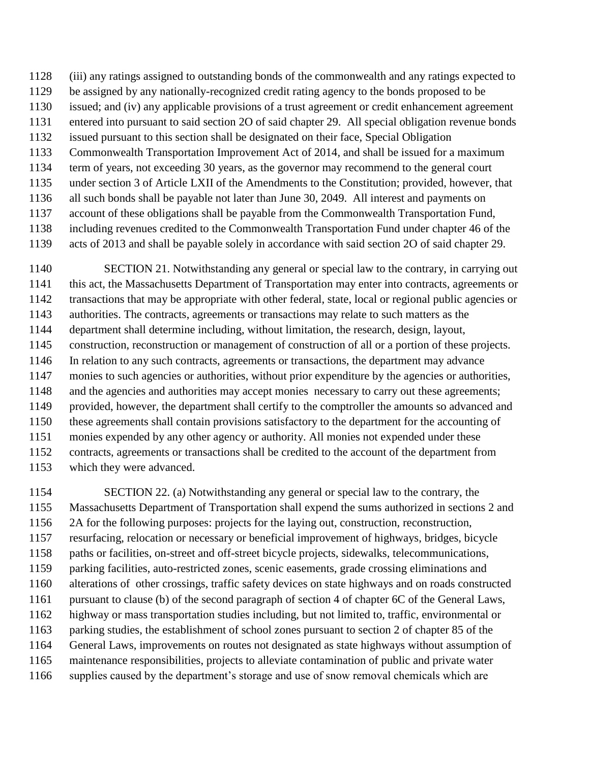(iii) any ratings assigned to outstanding bonds of the commonwealth and any ratings expected to

- be assigned by any nationally-recognized credit rating agency to the bonds proposed to be
- issued; and (iv) any applicable provisions of a trust agreement or credit enhancement agreement
- entered into pursuant to said section 2O of said chapter 29. All special obligation revenue bonds issued pursuant to this section shall be designated on their face, Special Obligation
- Commonwealth Transportation Improvement Act of 2014, and shall be issued for a maximum
- term of years, not exceeding 30 years, as the governor may recommend to the general court
- under section 3 of Article LXII of the Amendments to the Constitution; provided, however, that
- all such bonds shall be payable not later than June 30, 2049. All interest and payments on
- account of these obligations shall be payable from the Commonwealth Transportation Fund,
- including revenues credited to the Commonwealth Transportation Fund under chapter 46 of the
- acts of 2013 and shall be payable solely in accordance with said section 2O of said chapter 29.
- SECTION 21. Notwithstanding any general or special law to the contrary, in carrying out this act, the Massachusetts Department of Transportation may enter into contracts, agreements or transactions that may be appropriate with other federal, state, local or regional public agencies or authorities. The contracts, agreements or transactions may relate to such matters as the department shall determine including, without limitation, the research, design, layout, construction, reconstruction or management of construction of all or a portion of these projects. In relation to any such contracts, agreements or transactions, the department may advance monies to such agencies or authorities, without prior expenditure by the agencies or authorities, 1148 and the agencies and authorities may accept monies necessary to carry out these agreements; provided, however, the department shall certify to the comptroller the amounts so advanced and these agreements shall contain provisions satisfactory to the department for the accounting of monies expended by any other agency or authority. All monies not expended under these contracts, agreements or transactions shall be credited to the account of the department from which they were advanced.
- SECTION 22. (a) Notwithstanding any general or special law to the contrary, the Massachusetts Department of Transportation shall expend the sums authorized in sections 2 and 2A for the following purposes: projects for the laying out, construction, reconstruction, resurfacing, relocation or necessary or beneficial improvement of highways, bridges, bicycle paths or facilities, on-street and off-street bicycle projects, sidewalks, telecommunications, parking facilities, auto-restricted zones, scenic easements, grade crossing eliminations and alterations of other crossings, traffic safety devices on state highways and on roads constructed pursuant to clause (b) of the second paragraph of section 4 of chapter 6C of the General Laws, highway or mass transportation studies including, but not limited to, traffic, environmental or parking studies, the establishment of school zones pursuant to section 2 of chapter 85 of the General Laws, improvements on routes not designated as state highways without assumption of maintenance responsibilities, projects to alleviate contamination of public and private water supplies caused by the department's storage and use of snow removal chemicals which are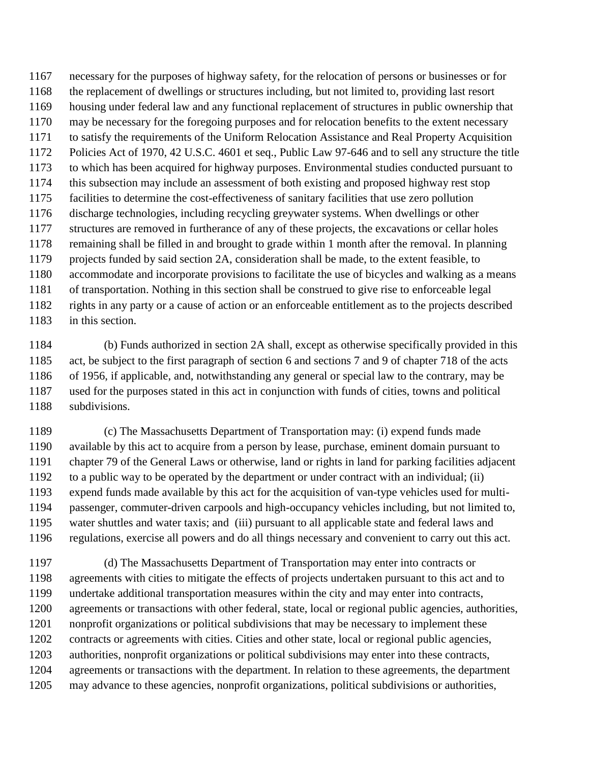necessary for the purposes of highway safety, for the relocation of persons or businesses or for the replacement of dwellings or structures including, but not limited to, providing last resort housing under federal law and any functional replacement of structures in public ownership that may be necessary for the foregoing purposes and for relocation benefits to the extent necessary to satisfy the requirements of the Uniform Relocation Assistance and Real Property Acquisition Policies Act of 1970, 42 U.S.C. 4601 et seq., Public Law 97-646 and to sell any structure the title to which has been acquired for highway purposes. Environmental studies conducted pursuant to this subsection may include an assessment of both existing and proposed highway rest stop facilities to determine the cost-effectiveness of sanitary facilities that use zero pollution discharge technologies, including recycling greywater systems. When dwellings or other structures are removed in furtherance of any of these projects, the excavations or cellar holes remaining shall be filled in and brought to grade within 1 month after the removal. In planning projects funded by said section 2A, consideration shall be made, to the extent feasible, to accommodate and incorporate provisions to facilitate the use of bicycles and walking as a means of transportation. Nothing in this section shall be construed to give rise to enforceable legal rights in any party or a cause of action or an enforceable entitlement as to the projects described in this section.

 (b) Funds authorized in section 2A shall, except as otherwise specifically provided in this act, be subject to the first paragraph of section 6 and sections 7 and 9 of chapter 718 of the acts of 1956, if applicable, and, notwithstanding any general or special law to the contrary, may be used for the purposes stated in this act in conjunction with funds of cities, towns and political subdivisions.

 (c) The Massachusetts Department of Transportation may: (i) expend funds made available by this act to acquire from a person by lease, purchase, eminent domain pursuant to chapter 79 of the General Laws or otherwise, land or rights in land for parking facilities adjacent to a public way to be operated by the department or under contract with an individual; (ii) expend funds made available by this act for the acquisition of van-type vehicles used for multi- passenger, commuter-driven carpools and high-occupancy vehicles including, but not limited to, water shuttles and water taxis; and (iii) pursuant to all applicable state and federal laws and regulations, exercise all powers and do all things necessary and convenient to carry out this act.

 (d) The Massachusetts Department of Transportation may enter into contracts or agreements with cities to mitigate the effects of projects undertaken pursuant to this act and to undertake additional transportation measures within the city and may enter into contracts, agreements or transactions with other federal, state, local or regional public agencies, authorities, nonprofit organizations or political subdivisions that may be necessary to implement these contracts or agreements with cities. Cities and other state, local or regional public agencies, authorities, nonprofit organizations or political subdivisions may enter into these contracts, agreements or transactions with the department. In relation to these agreements, the department may advance to these agencies, nonprofit organizations, political subdivisions or authorities,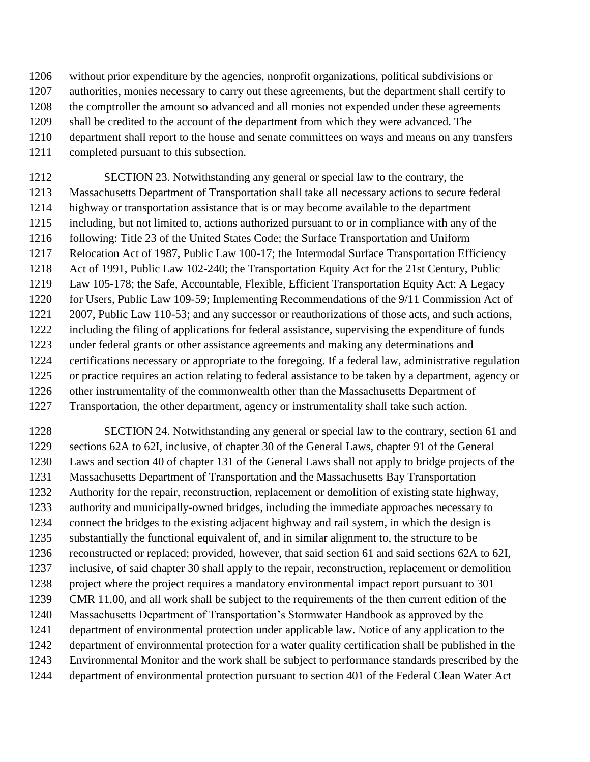without prior expenditure by the agencies, nonprofit organizations, political subdivisions or authorities, monies necessary to carry out these agreements, but the department shall certify to the comptroller the amount so advanced and all monies not expended under these agreements shall be credited to the account of the department from which they were advanced. The department shall report to the house and senate committees on ways and means on any transfers completed pursuant to this subsection.

 SECTION 23. Notwithstanding any general or special law to the contrary, the Massachusetts Department of Transportation shall take all necessary actions to secure federal highway or transportation assistance that is or may become available to the department including, but not limited to, actions authorized pursuant to or in compliance with any of the 1216 following: Title 23 of the United States Code; the Surface Transportation and Uniform Relocation Act of 1987, Public Law 100-17; the Intermodal Surface Transportation Efficiency Act of 1991, Public Law 102-240; the Transportation Equity Act for the 21st Century, Public Law 105-178; the Safe, Accountable, Flexible, Efficient Transportation Equity Act: A Legacy 1220 for Users, Public Law 109-59; Implementing Recommendations of the 9/11 Commission Act of 2007, Public Law 110-53; and any successor or reauthorizations of those acts, and such actions, including the filing of applications for federal assistance, supervising the expenditure of funds under federal grants or other assistance agreements and making any determinations and certifications necessary or appropriate to the foregoing. If a federal law, administrative regulation or practice requires an action relating to federal assistance to be taken by a department, agency or other instrumentality of the commonwealth other than the Massachusetts Department of Transportation, the other department, agency or instrumentality shall take such action.

 SECTION 24. Notwithstanding any general or special law to the contrary, section 61 and sections 62A to 62I, inclusive, of chapter 30 of the General Laws, chapter 91 of the General Laws and section 40 of chapter 131 of the General Laws shall not apply to bridge projects of the Massachusetts Department of Transportation and the Massachusetts Bay Transportation Authority for the repair, reconstruction, replacement or demolition of existing state highway, authority and municipally-owned bridges, including the immediate approaches necessary to connect the bridges to the existing adjacent highway and rail system, in which the design is substantially the functional equivalent of, and in similar alignment to, the structure to be reconstructed or replaced; provided, however, that said section 61 and said sections 62A to 62I, inclusive, of said chapter 30 shall apply to the repair, reconstruction, replacement or demolition project where the project requires a mandatory environmental impact report pursuant to 301 CMR 11.00, and all work shall be subject to the requirements of the then current edition of the Massachusetts Department of Transportation's Stormwater Handbook as approved by the department of environmental protection under applicable law. Notice of any application to the department of environmental protection for a water quality certification shall be published in the Environmental Monitor and the work shall be subject to performance standards prescribed by the department of environmental protection pursuant to section 401 of the Federal Clean Water Act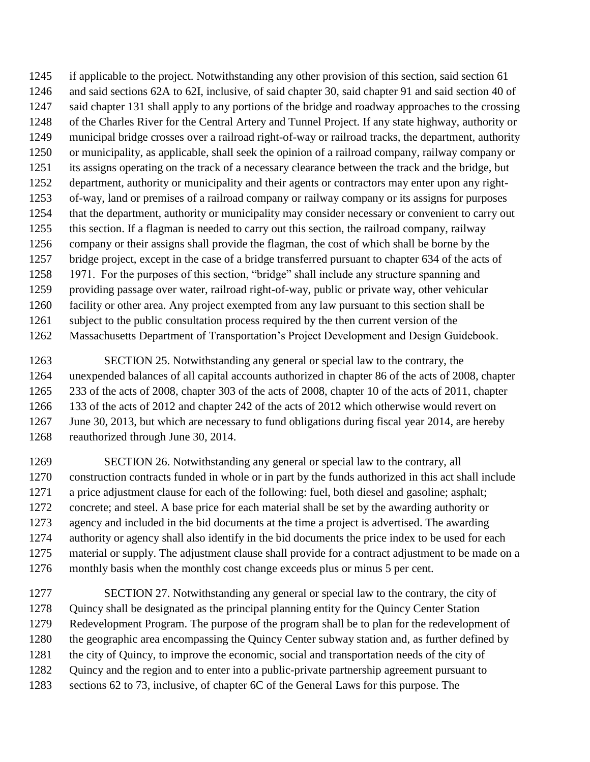if applicable to the project. Notwithstanding any other provision of this section, said section 61 and said sections 62A to 62I, inclusive, of said chapter 30, said chapter 91 and said section 40 of said chapter 131 shall apply to any portions of the bridge and roadway approaches to the crossing of the Charles River for the Central Artery and Tunnel Project. If any state highway, authority or municipal bridge crosses over a railroad right-of-way or railroad tracks, the department, authority or municipality, as applicable, shall seek the opinion of a railroad company, railway company or its assigns operating on the track of a necessary clearance between the track and the bridge, but department, authority or municipality and their agents or contractors may enter upon any right- of-way, land or premises of a railroad company or railway company or its assigns for purposes that the department, authority or municipality may consider necessary or convenient to carry out this section. If a flagman is needed to carry out this section, the railroad company, railway company or their assigns shall provide the flagman, the cost of which shall be borne by the bridge project, except in the case of a bridge transferred pursuant to chapter 634 of the acts of 1971. For the purposes of this section, "bridge" shall include any structure spanning and providing passage over water, railroad right-of-way, public or private way, other vehicular facility or other area. Any project exempted from any law pursuant to this section shall be subject to the public consultation process required by the then current version of the Massachusetts Department of Transportation's Project Development and Design Guidebook.

 SECTION 25. Notwithstanding any general or special law to the contrary, the unexpended balances of all capital accounts authorized in chapter 86 of the acts of 2008, chapter 233 of the acts of 2008, chapter 303 of the acts of 2008, chapter 10 of the acts of 2011, chapter 133 of the acts of 2012 and chapter 242 of the acts of 2012 which otherwise would revert on June 30, 2013, but which are necessary to fund obligations during fiscal year 2014, are hereby reauthorized through June 30, 2014.

 SECTION 26. Notwithstanding any general or special law to the contrary, all construction contracts funded in whole or in part by the funds authorized in this act shall include a price adjustment clause for each of the following: fuel, both diesel and gasoline; asphalt; concrete; and steel. A base price for each material shall be set by the awarding authority or agency and included in the bid documents at the time a project is advertised. The awarding authority or agency shall also identify in the bid documents the price index to be used for each material or supply. The adjustment clause shall provide for a contract adjustment to be made on a monthly basis when the monthly cost change exceeds plus or minus 5 per cent.

 SECTION 27. Notwithstanding any general or special law to the contrary, the city of Quincy shall be designated as the principal planning entity for the Quincy Center Station Redevelopment Program. The purpose of the program shall be to plan for the redevelopment of the geographic area encompassing the Quincy Center subway station and, as further defined by the city of Quincy, to improve the economic, social and transportation needs of the city of Quincy and the region and to enter into a public-private partnership agreement pursuant to sections 62 to 73, inclusive, of chapter 6C of the General Laws for this purpose. The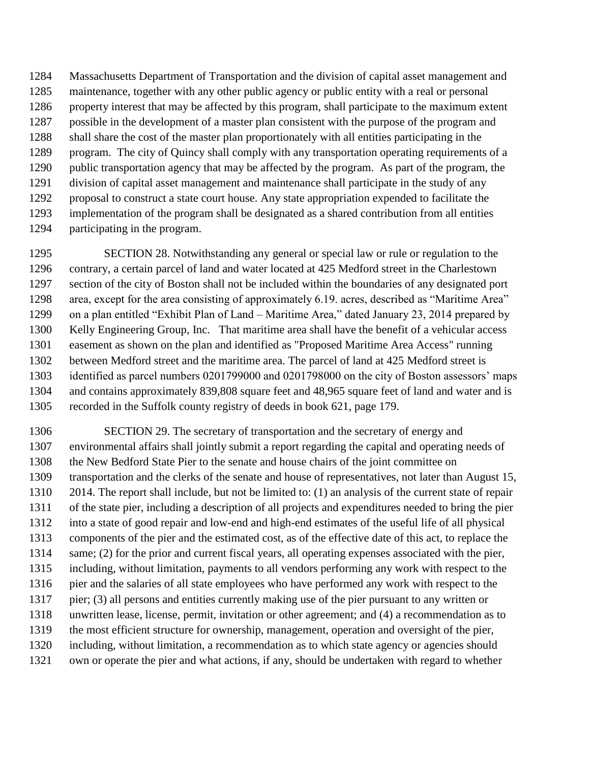Massachusetts Department of Transportation and the division of capital asset management and maintenance, together with any other public agency or public entity with a real or personal property interest that may be affected by this program, shall participate to the maximum extent possible in the development of a master plan consistent with the purpose of the program and shall share the cost of the master plan proportionately with all entities participating in the program. The city of Quincy shall comply with any transportation operating requirements of a public transportation agency that may be affected by the program. As part of the program, the division of capital asset management and maintenance shall participate in the study of any proposal to construct a state court house. Any state appropriation expended to facilitate the implementation of the program shall be designated as a shared contribution from all entities participating in the program.

 SECTION 28. Notwithstanding any general or special law or rule or regulation to the contrary, a certain parcel of land and water located at 425 Medford street in the Charlestown section of the city of Boston shall not be included within the boundaries of any designated port area, except for the area consisting of approximately 6.19. acres, described as "Maritime Area" on a plan entitled "Exhibit Plan of Land – Maritime Area," dated January 23, 2014 prepared by Kelly Engineering Group, Inc. That maritime area shall have the benefit of a vehicular access easement as shown on the plan and identified as "Proposed Maritime Area Access" running between Medford street and the maritime area. The parcel of land at 425 Medford street is identified as parcel numbers 0201799000 and 0201798000 on the city of Boston assessors' maps and contains approximately 839,808 square feet and 48,965 square feet of land and water and is recorded in the Suffolk county registry of deeds in book 621, page 179.

 SECTION 29. The secretary of transportation and the secretary of energy and environmental affairs shall jointly submit a report regarding the capital and operating needs of the New Bedford State Pier to the senate and house chairs of the joint committee on transportation and the clerks of the senate and house of representatives, not later than August 15, 2014. The report shall include, but not be limited to: (1) an analysis of the current state of repair of the state pier, including a description of all projects and expenditures needed to bring the pier into a state of good repair and low-end and high-end estimates of the useful life of all physical components of the pier and the estimated cost, as of the effective date of this act, to replace the same; (2) for the prior and current fiscal years, all operating expenses associated with the pier, including, without limitation, payments to all vendors performing any work with respect to the pier and the salaries of all state employees who have performed any work with respect to the pier; (3) all persons and entities currently making use of the pier pursuant to any written or unwritten lease, license, permit, invitation or other agreement; and (4) a recommendation as to the most efficient structure for ownership, management, operation and oversight of the pier, including, without limitation, a recommendation as to which state agency or agencies should own or operate the pier and what actions, if any, should be undertaken with regard to whether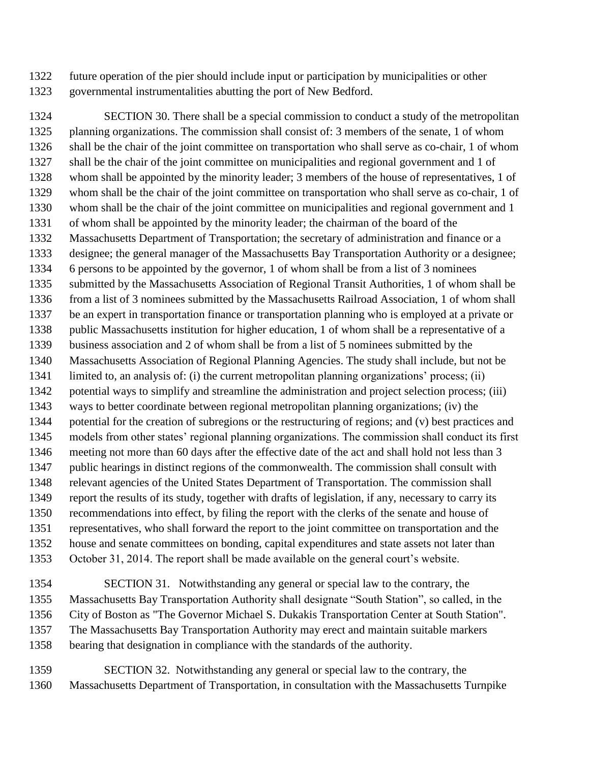future operation of the pier should include input or participation by municipalities or other governmental instrumentalities abutting the port of New Bedford.

 SECTION 30. There shall be a special commission to conduct a study of the metropolitan planning organizations. The commission shall consist of: 3 members of the senate, 1 of whom shall be the chair of the joint committee on transportation who shall serve as co-chair, 1 of whom shall be the chair of the joint committee on municipalities and regional government and 1 of whom shall be appointed by the minority leader; 3 members of the house of representatives, 1 of whom shall be the chair of the joint committee on transportation who shall serve as co-chair, 1 of whom shall be the chair of the joint committee on municipalities and regional government and 1 of whom shall be appointed by the minority leader; the chairman of the board of the Massachusetts Department of Transportation; the secretary of administration and finance or a designee; the general manager of the Massachusetts Bay Transportation Authority or a designee; 6 persons to be appointed by the governor, 1 of whom shall be from a list of 3 nominees submitted by the Massachusetts Association of Regional Transit Authorities, 1 of whom shall be from a list of 3 nominees submitted by the Massachusetts Railroad Association, 1 of whom shall be an expert in transportation finance or transportation planning who is employed at a private or public Massachusetts institution for higher education, 1 of whom shall be a representative of a business association and 2 of whom shall be from a list of 5 nominees submitted by the Massachusetts Association of Regional Planning Agencies. The study shall include, but not be limited to, an analysis of: (i) the current metropolitan planning organizations' process; (ii) potential ways to simplify and streamline the administration and project selection process; (iii) ways to better coordinate between regional metropolitan planning organizations; (iv) the potential for the creation of subregions or the restructuring of regions; and (v) best practices and models from other states' regional planning organizations. The commission shall conduct its first meeting not more than 60 days after the effective date of the act and shall hold not less than 3 public hearings in distinct regions of the commonwealth. The commission shall consult with relevant agencies of the United States Department of Transportation. The commission shall report the results of its study, together with drafts of legislation, if any, necessary to carry its recommendations into effect, by filing the report with the clerks of the senate and house of representatives, who shall forward the report to the joint committee on transportation and the house and senate committees on bonding, capital expenditures and state assets not later than October 31, 2014. The report shall be made available on the general court's website.

 SECTION 31. Notwithstanding any general or special law to the contrary, the Massachusetts Bay Transportation Authority shall designate "South Station", so called, in the City of Boston as "The Governor Michael S. Dukakis Transportation Center at South Station". The Massachusetts Bay Transportation Authority may erect and maintain suitable markers bearing that designation in compliance with the standards of the authority.

 SECTION 32. Notwithstanding any general or special law to the contrary, the Massachusetts Department of Transportation, in consultation with the Massachusetts Turnpike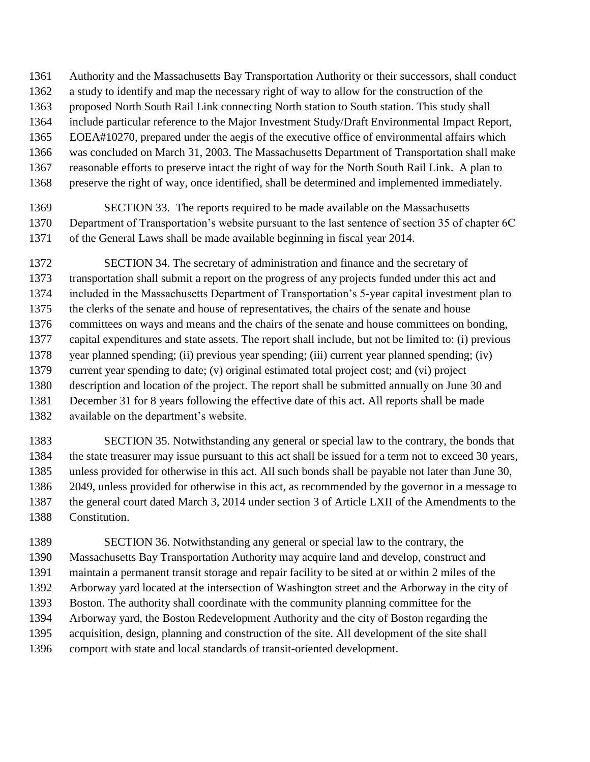Authority and the Massachusetts Bay Transportation Authority or their successors, shall conduct a study to identify and map the necessary right of way to allow for the construction of the proposed North South Rail Link connecting North station to South station. This study shall include particular reference to the Major Investment Study/Draft Environmental Impact Report, EOEA#10270, prepared under the aegis of the executive office of environmental affairs which was concluded on March 31, 2003. The Massachusetts Department of Transportation shall make reasonable efforts to preserve intact the right of way for the North South Rail Link. A plan to preserve the right of way, once identified, shall be determined and implemented immediately.

 SECTION 33. The reports required to be made available on the Massachusetts Department of Transportation's website pursuant to the last sentence of section 35 of chapter 6C of the General Laws shall be made available beginning in fiscal year 2014.

 SECTION 34. The secretary of administration and finance and the secretary of transportation shall submit a report on the progress of any projects funded under this act and included in the Massachusetts Department of Transportation's 5-year capital investment plan to the clerks of the senate and house of representatives, the chairs of the senate and house committees on ways and means and the chairs of the senate and house committees on bonding, capital expenditures and state assets. The report shall include, but not be limited to: (i) previous year planned spending; (ii) previous year spending; (iii) current year planned spending; (iv) current year spending to date; (v) original estimated total project cost; and (vi) project description and location of the project. The report shall be submitted annually on June 30 and December 31 for 8 years following the effective date of this act. All reports shall be made available on the department's website.

 SECTION 35. Notwithstanding any general or special law to the contrary, the bonds that the state treasurer may issue pursuant to this act shall be issued for a term not to exceed 30 years, unless provided for otherwise in this act. All such bonds shall be payable not later than June 30, 2049, unless provided for otherwise in this act, as recommended by the governor in a message to the general court dated March 3, 2014 under section 3 of Article LXII of the Amendments to the Constitution.

 SECTION 36. Notwithstanding any general or special law to the contrary, the Massachusetts Bay Transportation Authority may acquire land and develop, construct and maintain a permanent transit storage and repair facility to be sited at or within 2 miles of the Arborway yard located at the intersection of Washington street and the Arborway in the city of Boston. The authority shall coordinate with the community planning committee for the Arborway yard, the Boston Redevelopment Authority and the city of Boston regarding the acquisition, design, planning and construction of the site. All development of the site shall comport with state and local standards of transit-oriented development.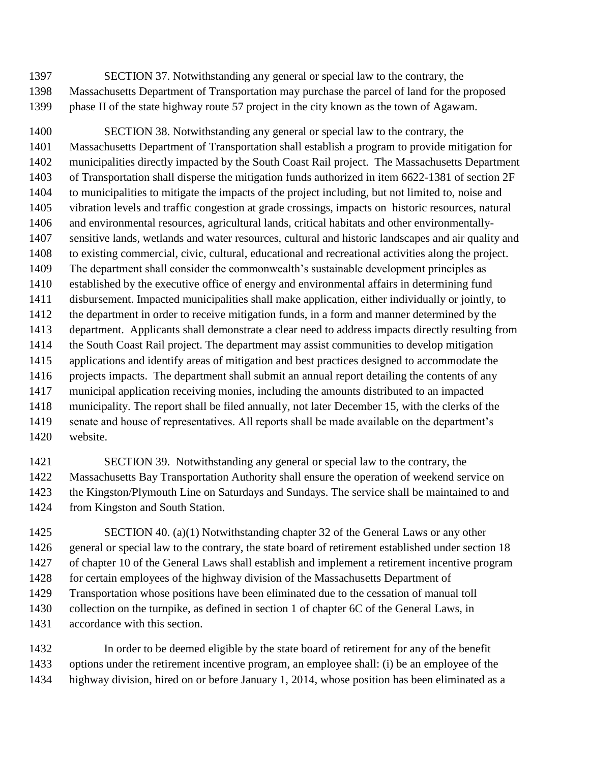SECTION 37. Notwithstanding any general or special law to the contrary, the Massachusetts Department of Transportation may purchase the parcel of land for the proposed phase II of the state highway route 57 project in the city known as the town of Agawam.

 SECTION 38. Notwithstanding any general or special law to the contrary, the Massachusetts Department of Transportation shall establish a program to provide mitigation for municipalities directly impacted by the South Coast Rail project. The Massachusetts Department of Transportation shall disperse the mitigation funds authorized in item 6622-1381 of section 2F to municipalities to mitigate the impacts of the project including, but not limited to, noise and vibration levels and traffic congestion at grade crossings, impacts on historic resources, natural and environmental resources, agricultural lands, critical habitats and other environmentally- sensitive lands, wetlands and water resources, cultural and historic landscapes and air quality and to existing commercial, civic, cultural, educational and recreational activities along the project. The department shall consider the commonwealth's sustainable development principles as established by the executive office of energy and environmental affairs in determining fund disbursement. Impacted municipalities shall make application, either individually or jointly, to the department in order to receive mitigation funds, in a form and manner determined by the department. Applicants shall demonstrate a clear need to address impacts directly resulting from the South Coast Rail project. The department may assist communities to develop mitigation applications and identify areas of mitigation and best practices designed to accommodate the 1416 projects impacts. The department shall submit an annual report detailing the contents of any municipal application receiving monies, including the amounts distributed to an impacted municipality. The report shall be filed annually, not later December 15, with the clerks of the senate and house of representatives. All reports shall be made available on the department's website.

 SECTION 39. Notwithstanding any general or special law to the contrary, the Massachusetts Bay Transportation Authority shall ensure the operation of weekend service on the Kingston/Plymouth Line on Saturdays and Sundays. The service shall be maintained to and from Kingston and South Station.

 SECTION 40. (a)(1) Notwithstanding chapter 32 of the General Laws or any other general or special law to the contrary, the state board of retirement established under section 18 of chapter 10 of the General Laws shall establish and implement a retirement incentive program 1428 for certain employees of the highway division of the Massachusetts Department of Transportation whose positions have been eliminated due to the cessation of manual toll collection on the turnpike, as defined in section 1 of chapter 6C of the General Laws, in accordance with this section.

 In order to be deemed eligible by the state board of retirement for any of the benefit options under the retirement incentive program, an employee shall: (i) be an employee of the highway division, hired on or before January 1, 2014, whose position has been eliminated as a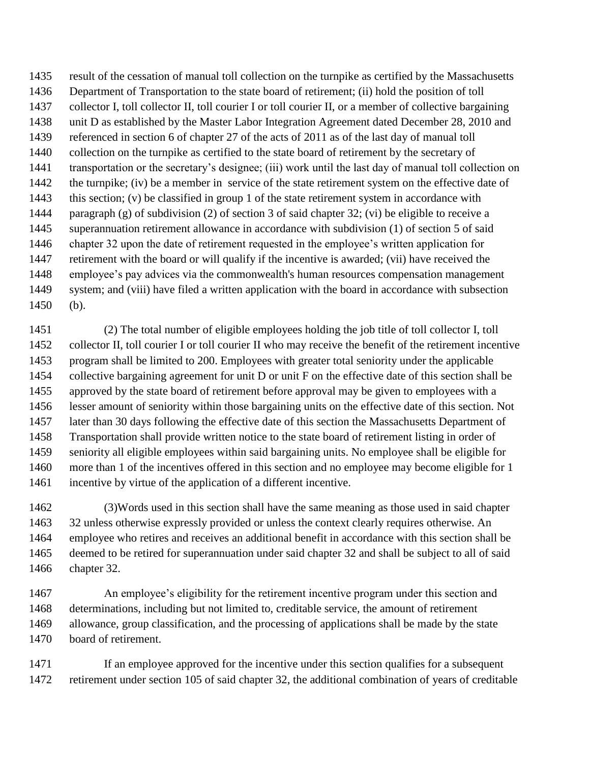result of the cessation of manual toll collection on the turnpike as certified by the Massachusetts Department of Transportation to the state board of retirement; (ii) hold the position of toll collector I, toll collector II, toll courier I or toll courier II, or a member of collective bargaining unit D as established by the Master Labor Integration Agreement dated December 28, 2010 and referenced in section 6 of chapter 27 of the acts of 2011 as of the last day of manual toll collection on the turnpike as certified to the state board of retirement by the secretary of transportation or the secretary's designee; (iii) work until the last day of manual toll collection on 1442 the turnpike; (iv) be a member in service of the state retirement system on the effective date of this section; (v) be classified in group 1 of the state retirement system in accordance with paragraph (g) of subdivision (2) of section 3 of said chapter 32; (vi) be eligible to receive a superannuation retirement allowance in accordance with subdivision (1) of section 5 of said chapter 32 upon the date of retirement requested in the employee's written application for retirement with the board or will qualify if the incentive is awarded; (vii) have received the employee's pay advices via the commonwealth's human resources compensation management system; and (viii) have filed a written application with the board in accordance with subsection (b).

 (2) The total number of eligible employees holding the job title of toll collector I, toll collector II, toll courier I or toll courier II who may receive the benefit of the retirement incentive program shall be limited to 200. Employees with greater total seniority under the applicable collective bargaining agreement for unit D or unit F on the effective date of this section shall be approved by the state board of retirement before approval may be given to employees with a lesser amount of seniority within those bargaining units on the effective date of this section. Not later than 30 days following the effective date of this section the Massachusetts Department of Transportation shall provide written notice to the state board of retirement listing in order of seniority all eligible employees within said bargaining units. No employee shall be eligible for more than 1 of the incentives offered in this section and no employee may become eligible for 1 incentive by virtue of the application of a different incentive.

 (3)Words used in this section shall have the same meaning as those used in said chapter 32 unless otherwise expressly provided or unless the context clearly requires otherwise. An employee who retires and receives an additional benefit in accordance with this section shall be deemed to be retired for superannuation under said chapter 32 and shall be subject to all of said chapter 32.

 An employee's eligibility for the retirement incentive program under this section and determinations, including but not limited to, creditable service, the amount of retirement allowance, group classification, and the processing of applications shall be made by the state board of retirement.

1471 If an employee approved for the incentive under this section qualifies for a subsequent retirement under section 105 of said chapter 32, the additional combination of years of creditable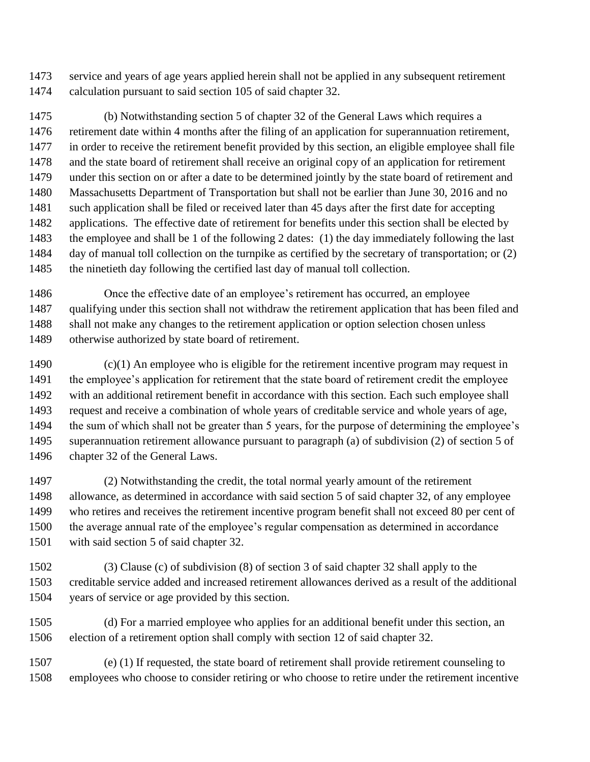service and years of age years applied herein shall not be applied in any subsequent retirement calculation pursuant to said section 105 of said chapter 32.

 (b) Notwithstanding section 5 of chapter 32 of the General Laws which requires a retirement date within 4 months after the filing of an application for superannuation retirement, in order to receive the retirement benefit provided by this section, an eligible employee shall file and the state board of retirement shall receive an original copy of an application for retirement under this section on or after a date to be determined jointly by the state board of retirement and Massachusetts Department of Transportation but shall not be earlier than June 30, 2016 and no such application shall be filed or received later than 45 days after the first date for accepting applications. The effective date of retirement for benefits under this section shall be elected by the employee and shall be 1 of the following 2 dates: (1) the day immediately following the last 1484 day of manual toll collection on the turnpike as certified by the secretary of transportation; or (2) the ninetieth day following the certified last day of manual toll collection.

 Once the effective date of an employee's retirement has occurred, an employee qualifying under this section shall not withdraw the retirement application that has been filed and 1488 shall not make any changes to the retirement application or option selection chosen unless otherwise authorized by state board of retirement.

 (c)(1) An employee who is eligible for the retirement incentive program may request in the employee's application for retirement that the state board of retirement credit the employee with an additional retirement benefit in accordance with this section. Each such employee shall request and receive a combination of whole years of creditable service and whole years of age, the sum of which shall not be greater than 5 years, for the purpose of determining the employee's superannuation retirement allowance pursuant to paragraph (a) of subdivision (2) of section 5 of chapter 32 of the General Laws.

 (2) Notwithstanding the credit, the total normal yearly amount of the retirement allowance, as determined in accordance with said section 5 of said chapter 32, of any employee who retires and receives the retirement incentive program benefit shall not exceed 80 per cent of the average annual rate of the employee's regular compensation as determined in accordance with said section 5 of said chapter 32.

 (3) Clause (c) of subdivision (8) of section 3 of said chapter 32 shall apply to the creditable service added and increased retirement allowances derived as a result of the additional years of service or age provided by this section.

 (d) For a married employee who applies for an additional benefit under this section, an election of a retirement option shall comply with section 12 of said chapter 32.

 (e) (1) If requested, the state board of retirement shall provide retirement counseling to employees who choose to consider retiring or who choose to retire under the retirement incentive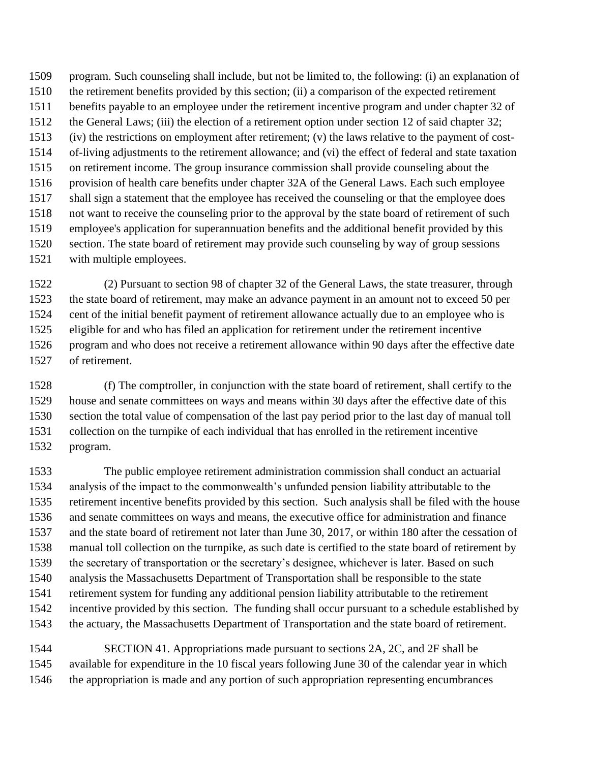program. Such counseling shall include, but not be limited to, the following: (i) an explanation of the retirement benefits provided by this section; (ii) a comparison of the expected retirement benefits payable to an employee under the retirement incentive program and under chapter 32 of 1512 the General Laws; (iii) the election of a retirement option under section 12 of said chapter 32; (iv) the restrictions on employment after retirement; (v) the laws relative to the payment of cost- of-living adjustments to the retirement allowance; and (vi) the effect of federal and state taxation on retirement income. The group insurance commission shall provide counseling about the provision of health care benefits under chapter 32A of the General Laws. Each such employee shall sign a statement that the employee has received the counseling or that the employee does not want to receive the counseling prior to the approval by the state board of retirement of such employee's application for superannuation benefits and the additional benefit provided by this section. The state board of retirement may provide such counseling by way of group sessions with multiple employees.

 (2) Pursuant to section 98 of chapter 32 of the General Laws, the state treasurer, through the state board of retirement, may make an advance payment in an amount not to exceed 50 per cent of the initial benefit payment of retirement allowance actually due to an employee who is eligible for and who has filed an application for retirement under the retirement incentive program and who does not receive a retirement allowance within 90 days after the effective date of retirement.

 (f) The comptroller, in conjunction with the state board of retirement, shall certify to the house and senate committees on ways and means within 30 days after the effective date of this section the total value of compensation of the last pay period prior to the last day of manual toll collection on the turnpike of each individual that has enrolled in the retirement incentive program.

 The public employee retirement administration commission shall conduct an actuarial analysis of the impact to the commonwealth's unfunded pension liability attributable to the retirement incentive benefits provided by this section. Such analysis shall be filed with the house and senate committees on ways and means, the executive office for administration and finance and the state board of retirement not later than June 30, 2017, or within 180 after the cessation of manual toll collection on the turnpike, as such date is certified to the state board of retirement by the secretary of transportation or the secretary's designee, whichever is later. Based on such analysis the Massachusetts Department of Transportation shall be responsible to the state retirement system for funding any additional pension liability attributable to the retirement incentive provided by this section. The funding shall occur pursuant to a schedule established by the actuary, the Massachusetts Department of Transportation and the state board of retirement.

 SECTION 41. Appropriations made pursuant to sections 2A, 2C, and 2F shall be available for expenditure in the 10 fiscal years following June 30 of the calendar year in which the appropriation is made and any portion of such appropriation representing encumbrances